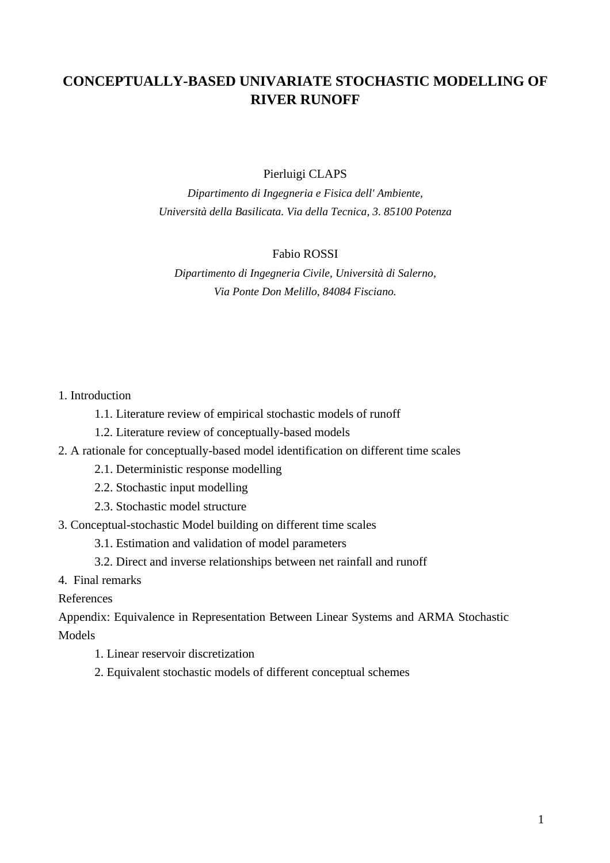# **CONCEPTUALLY-BASED UNIVARIATE STOCHASTIC MODELLING OF RIVER RUNOFF**

Pierluigi CLAPS

*Dipartimento di Ingegneria e Fisica dell' Ambiente, Università della Basilicata. Via della Tecnica, 3. 85100 Potenza*

# Fabio ROSSI

*Dipartimento di Ingegneria Civile, Università di Salerno, Via Ponte Don Melillo, 84084 Fisciano.*

# 1. Introduction

- 1.1. Literature review of empirical stochastic models of runoff
- 1.2. Literature review of conceptually-based models
- 2. A rationale for conceptually-based model identification on different time scales
	- 2.1. Deterministic response modelling
	- 2.2. Stochastic input modelling
	- 2.3. Stochastic model structure
- 3. Conceptual-stochastic Model building on different time scales
	- 3.1. Estimation and validation of model parameters
	- 3.2. Direct and inverse relationships between net rainfall and runoff
- 4. Final remarks

## References

Appendix: Equivalence in Representation Between Linear Systems and ARMA Stochastic Models

- 1. Linear reservoir discretization
- 2. Equivalent stochastic models of different conceptual schemes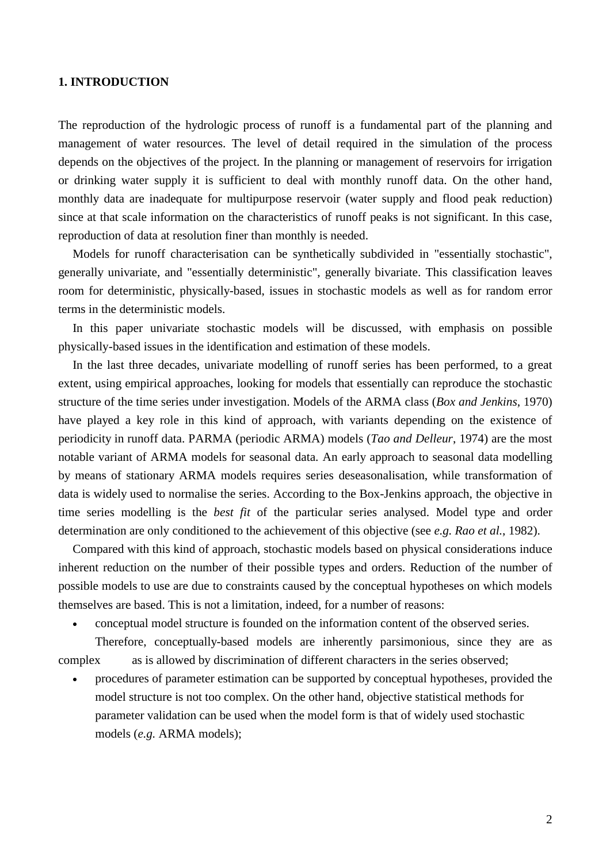# **1. INTRODUCTION**

The reproduction of the hydrologic process of runoff is a fundamental part of the planning and management of water resources. The level of detail required in the simulation of the process depends on the objectives of the project. In the planning or management of reservoirs for irrigation or drinking water supply it is sufficient to deal with monthly runoff data. On the other hand, monthly data are inadequate for multipurpose reservoir (water supply and flood peak reduction) since at that scale information on the characteristics of runoff peaks is not significant. In this case, reproduction of data at resolution finer than monthly is needed.

Models for runoff characterisation can be synthetically subdivided in "essentially stochastic", generally univariate, and "essentially deterministic", generally bivariate. This classification leaves room for deterministic, physically-based, issues in stochastic models as well as for random error terms in the deterministic models.

In this paper univariate stochastic models will be discussed, with emphasis on possible physically-based issues in the identification and estimation of these models.

In the last three decades, univariate modelling of runoff series has been performed, to a great extent, using empirical approaches, looking for models that essentially can reproduce the stochastic structure of the time series under investigation. Models of the ARMA class (*Box and Jenkins*, 1970) have played a key role in this kind of approach, with variants depending on the existence of periodicity in runoff data. PARMA (periodic ARMA) models (*Tao and Delleur*, 1974) are the most notable variant of ARMA models for seasonal data. An early approach to seasonal data modelling by means of stationary ARMA models requires series deseasonalisation, while transformation of data is widely used to normalise the series. According to the Box-Jenkins approach, the objective in time series modelling is the *best fit* of the particular series analysed. Model type and order determination are only conditioned to the achievement of this objective (see *e.g. Rao et al.*, 1982).

Compared with this kind of approach, stochastic models based on physical considerations induce inherent reduction on the number of their possible types and orders. Reduction of the number of possible models to use are due to constraints caused by the conceptual hypotheses on which models themselves are based. This is not a limitation, indeed, for a number of reasons:

 $\overline{a}$ conceptual model structure is founded on the information content of the observed series.

Therefore, conceptually-based models are inherently parsimonious, since they are as complex as is allowed by discrimination of different characters in the series observed;

 $\bullet$  procedures of parameter estimation can be supported by conceptual hypotheses, provided the model structure is not too complex. On the other hand, objective statistical methods for parameter validation can be used when the model form is that of widely used stochastic models (*e.g.* ARMA models);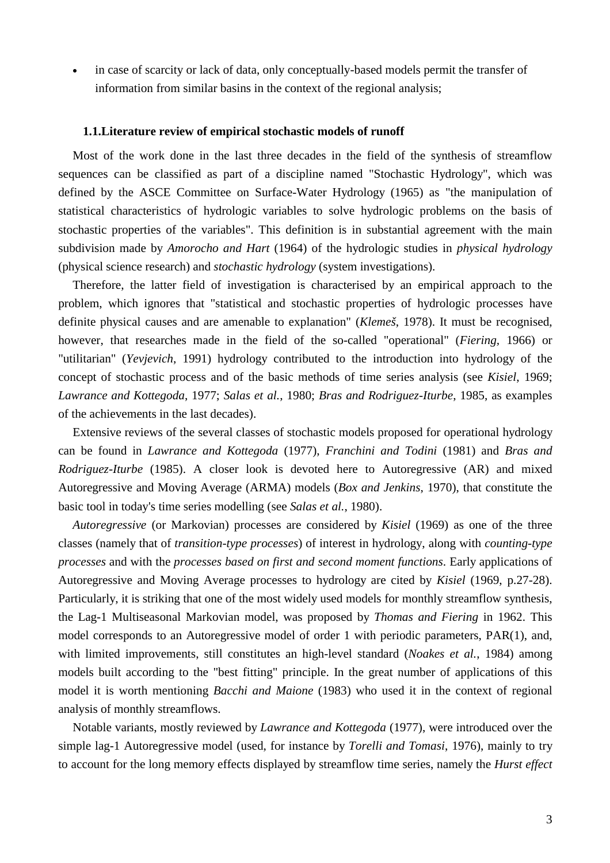$\bullet$  in case of scarcity or lack of data, only conceptually-based models permit the transfer of information from similar basins in the context of the regional analysis;

#### **1.1.Literature review of empirical stochastic models of runoff**

Most of the work done in the last three decades in the field of the synthesis of streamflow sequences can be classified as part of a discipline named "Stochastic Hydrology", which was defined by the ASCE Committee on Surface-Water Hydrology (1965) as "the manipulation of statistical characteristics of hydrologic variables to solve hydrologic problems on the basis of stochastic properties of the variables". This definition is in substantial agreement with the main subdivision made by *Amorocho and Hart* (1964) of the hydrologic studies in *physical hydrology* (physical science research) and *stochastic hydrology* (system investigations).

Therefore, the latter field of investigation is characterised by an empirical approach to the problem, which ignores that "statistical and stochastic properties of hydrologic processes have definite physical causes and are amenable to explanation" (*Klemeš*, 1978). It must be recognised, however, that researches made in the field of the so-called "operational" (*Fiering,* 1966) or "utilitarian" (*Yevjevich*, 1991) hydrology contributed to the introduction into hydrology of the concept of stochastic process and of the basic methods of time series analysis (see *Kisiel*, 1969; *Lawrance and Kottegoda*, 1977; *Salas et al.*, 1980; *Bras and Rodriguez-Iturbe*, 1985, as examples of the achievements in the last decades).

Extensive reviews of the several classes of stochastic models proposed for operational hydrology can be found in *Lawrance and Kottegoda* (1977), *Franchini and Todini* (1981) and *Bras and Rodriguez-Iturbe* (1985). A closer look is devoted here to Autoregressive (AR) and mixed Autoregressive and Moving Average (ARMA) models (*Box and Jenkins*, 1970), that constitute the basic tool in today's time series modelling (see *Salas et al.*, 1980).

*Autoregressive* (or Markovian) processes are considered by *Kisiel* (1969) as one of the three classes (namely that of *transition-type processes*) of interest in hydrology, along with *counting-type processes* and with the *processes based on first and second moment functions*. Early applications of Autoregressive and Moving Average processes to hydrology are cited by *Kisiel* (1969, p.27-28). Particularly, it is striking that one of the most widely used models for monthly streamflow synthesis, the Lag-1 Multiseasonal Markovian model, was proposed by *Thomas and Fiering* in 1962. This model corresponds to an Autoregressive model of order 1 with periodic parameters, PAR(1), and, with limited improvements, still constitutes an high-level standard (*Noakes et al.*, 1984) among models built according to the "best fitting" principle. In the great number of applications of this model it is worth mentioning *Bacchi and Maione* (1983) who used it in the context of regional analysis of monthly streamflows.

Notable variants, mostly reviewed by *Lawrance and Kottegoda* (1977), were introduced over the simple lag-1 Autoregressive model (used, for instance by *Torelli and Tomasi*, 1976), mainly to try to account for the long memory effects displayed by streamflow time series, namely the *Hurst effect*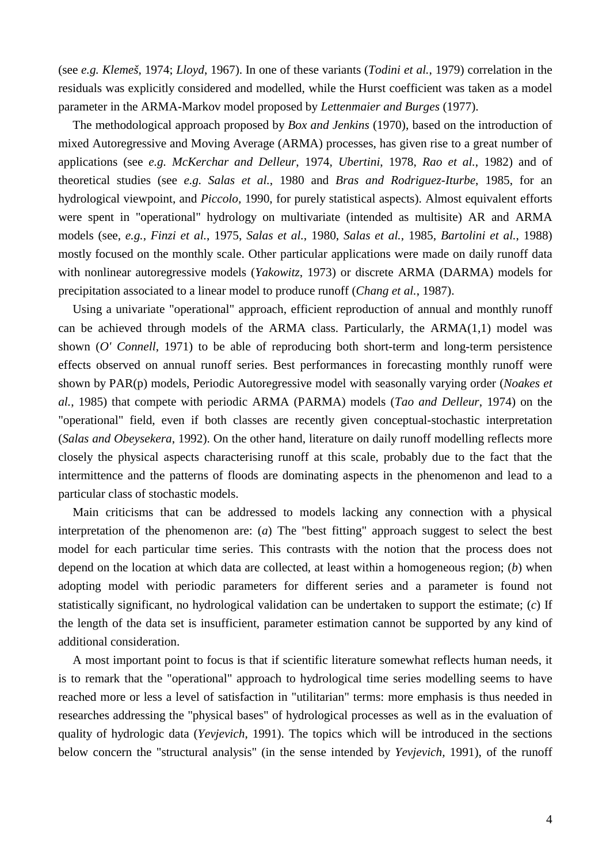(see *e.g. Klemeš*, 1974; *Lloyd*, 1967). In one of these variants (*Todini et al.*, 1979) correlation in the residuals was explicitly considered and modelled, while the Hurst coefficient was taken as a model parameter in the ARMA-Markov model proposed by *Lettenmaier and Burges* (1977).

The methodological approach proposed by *Box and Jenkins* (1970), based on the introduction of mixed Autoregressive and Moving Average (ARMA) processes, has given rise to a great number of applications (see *e.g. McKerchar and Delleur*, 1974, *Ubertini*, 1978, *Rao et al.*, 1982) and of theoretical studies (see *e.g. Salas et al.*, 1980 and *Bras and Rodriguez-Iturbe*, 1985, for an hydrological viewpoint, and *Piccolo,* 1990, for purely statistical aspects). Almost equivalent efforts were spent in "operational" hydrology on multivariate (intended as multisite) AR and ARMA models (see, *e.g.*, *Finzi et al.*, 1975, *Salas et al.*, 1980, *Salas et al.*, 1985, *Bartolini et al.*, 1988) mostly focused on the monthly scale. Other particular applications were made on daily runoff data with nonlinear autoregressive models (*Yakowitz*, 1973) or discrete ARMA (DARMA) models for precipitation associated to a linear model to produce runoff (*Chang et al.*, 1987).

Using a univariate "operational" approach, efficient reproduction of annual and monthly runoff can be achieved through models of the ARMA class. Particularly, the  $ARMA(1,1)$  model was shown (*O' Connell*, 1971) to be able of reproducing both short-term and long-term persistence effects observed on annual runoff series. Best performances in forecasting monthly runoff were shown by PAR(p) models, Periodic Autoregressive model with seasonally varying order (*Noakes et al.*, 1985) that compete with periodic ARMA (PARMA) models (*Tao and Delleur*, 1974) on the "operational" field, even if both classes are recently given conceptual-stochastic interpretation (*Salas and Obeysekera*, 1992). On the other hand, literature on daily runoff modelling reflects more closely the physical aspects characterising runoff at this scale, probably due to the fact that the intermittence and the patterns of floods are dominating aspects in the phenomenon and lead to a particular class of stochastic models.

Main criticisms that can be addressed to models lacking any connection with a physical interpretation of the phenomenon are: (*a*) The "best fitting" approach suggest to select the best model for each particular time series. This contrasts with the notion that the process does not depend on the location at which data are collected, at least within a homogeneous region; (*b*) when adopting model with periodic parameters for different series and a parameter is found not statistically significant, no hydrological validation can be undertaken to support the estimate; (*c*) If the length of the data set is insufficient, parameter estimation cannot be supported by any kind of additional consideration.

A most important point to focus is that if scientific literature somewhat reflects human needs, it is to remark that the "operational" approach to hydrological time series modelling seems to have reached more or less a level of satisfaction in "utilitarian" terms: more emphasis is thus needed in researches addressing the "physical bases" of hydrological processes as well as in the evaluation of quality of hydrologic data (*Yevjevich*, 1991). The topics which will be introduced in the sections below concern the "structural analysis" (in the sense intended by *Yevjevich,* 1991), of the runoff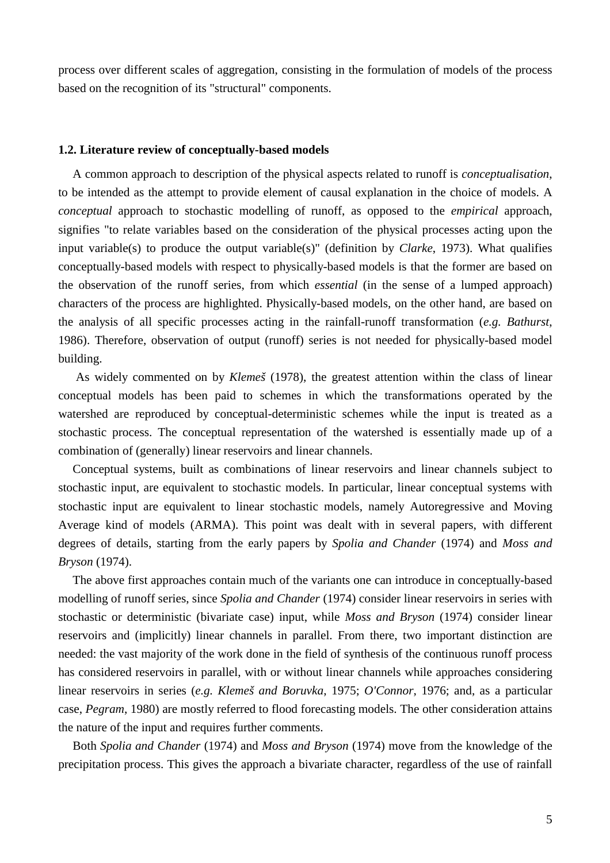process over different scales of aggregation, consisting in the formulation of models of the process based on the recognition of its "structural" components.

#### **1.2. Literature review of conceptually-based models**

A common approach to description of the physical aspects related to runoff is *conceptualisation*, to be intended as the attempt to provide element of causal explanation in the choice of models. A *conceptual* approach to stochastic modelling of runoff, as opposed to the *empirical* approach, signifies "to relate variables based on the consideration of the physical processes acting upon the input variable(s) to produce the output variable(s)" (definition by *Clarke*, 1973). What qualifies conceptually-based models with respect to physically-based models is that the former are based on the observation of the runoff series, from which *essential* (in the sense of a lumped approach) characters of the process are highlighted. Physically-based models, on the other hand, are based on the analysis of all specific processes acting in the rainfall-runoff transformation (*e.g. Bathurst*, 1986). Therefore, observation of output (runoff) series is not needed for physically-based model building.

 As widely commented on by *Klemeš* (1978), the greatest attention within the class of linear conceptual models has been paid to schemes in which the transformations operated by the watershed are reproduced by conceptual-deterministic schemes while the input is treated as a stochastic process. The conceptual representation of the watershed is essentially made up of a combination of (generally) linear reservoirs and linear channels.

Conceptual systems, built as combinations of linear reservoirs and linear channels subject to stochastic input, are equivalent to stochastic models. In particular, linear conceptual systems with stochastic input are equivalent to linear stochastic models, namely Autoregressive and Moving Average kind of models (ARMA). This point was dealt with in several papers, with different degrees of details, starting from the early papers by *Spolia and Chander* (1974) and *Moss and Bryson* (1974).

The above first approaches contain much of the variants one can introduce in conceptually-based modelling of runoff series, since *Spolia and Chander* (1974) consider linear reservoirs in series with stochastic or deterministic (bivariate case) input, while *Moss and Bryson* (1974) consider linear reservoirs and (implicitly) linear channels in parallel. From there, two important distinction are needed: the vast majority of the work done in the field of synthesis of the continuous runoff process has considered reservoirs in parallel, with or without linear channels while approaches considering linear reservoirs in series (*e.g. Klemeš and Boruvka*, 1975; *O'Connor*, 1976; and, as a particular case, *Pegram*, 1980) are mostly referred to flood forecasting models. The other consideration attains the nature of the input and requires further comments.

Both *Spolia and Chander* (1974) and *Moss and Bryson* (1974) move from the knowledge of the precipitation process. This gives the approach a bivariate character, regardless of the use of rainfall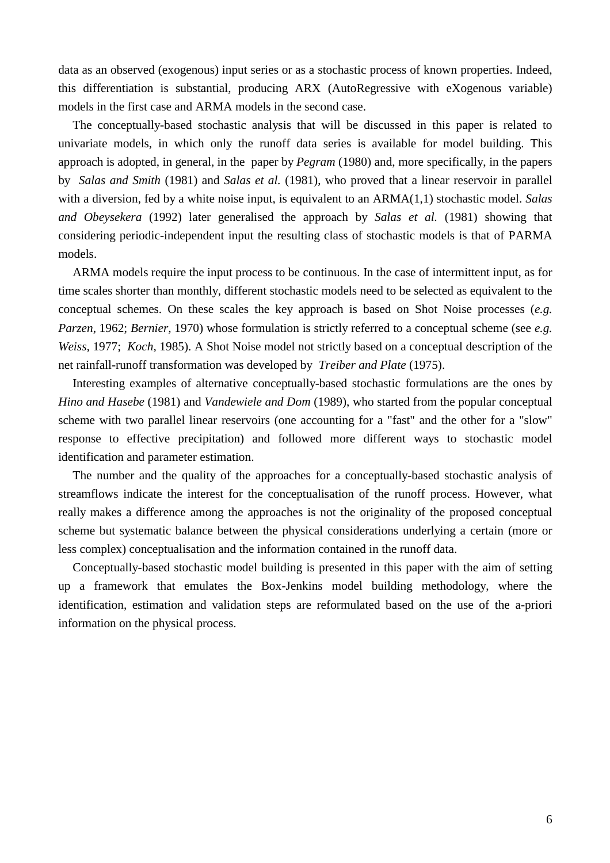data as an observed (exogenous) input series or as a stochastic process of known properties. Indeed, this differentiation is substantial, producing ARX (AutoRegressive with eXogenous variable) models in the first case and ARMA models in the second case.

The conceptually-based stochastic analysis that will be discussed in this paper is related to univariate models, in which only the runoff data series is available for model building. This approach is adopted, in general, in the paper by *Pegram* (1980) and, more specifically, in the papers by *Salas and Smith* (1981) and *Salas et al.* (1981), who proved that a linear reservoir in parallel with a diversion, fed by a white noise input, is equivalent to an ARMA(1,1) stochastic model. *Salas and Obeysekera* (1992) later generalised the approach by *Salas et al.* (1981) showing that considering periodic-independent input the resulting class of stochastic models is that of PARMA models.

ARMA models require the input process to be continuous. In the case of intermittent input, as for time scales shorter than monthly, different stochastic models need to be selected as equivalent to the conceptual schemes. On these scales the key approach is based on Shot Noise processes (*e.g. Parzen*, 1962; *Bernier,* 1970) whose formulation is strictly referred to a conceptual scheme (see *e.g. Weiss,* 1977; *Koch,* 1985). A Shot Noise model not strictly based on a conceptual description of the net rainfall-runoff transformation was developed by *Treiber and Plate* (1975).

Interesting examples of alternative conceptually-based stochastic formulations are the ones by *Hino and Hasebe* (1981) and *Vandewiele and Dom* (1989), who started from the popular conceptual scheme with two parallel linear reservoirs (one accounting for a "fast" and the other for a "slow" response to effective precipitation) and followed more different ways to stochastic model identification and parameter estimation.

The number and the quality of the approaches for a conceptually-based stochastic analysis of streamflows indicate the interest for the conceptualisation of the runoff process. However, what really makes a difference among the approaches is not the originality of the proposed conceptual scheme but systematic balance between the physical considerations underlying a certain (more or less complex) conceptualisation and the information contained in the runoff data.

Conceptually-based stochastic model building is presented in this paper with the aim of setting up a framework that emulates the Box-Jenkins model building methodology, where the identification, estimation and validation steps are reformulated based on the use of the a-priori information on the physical process.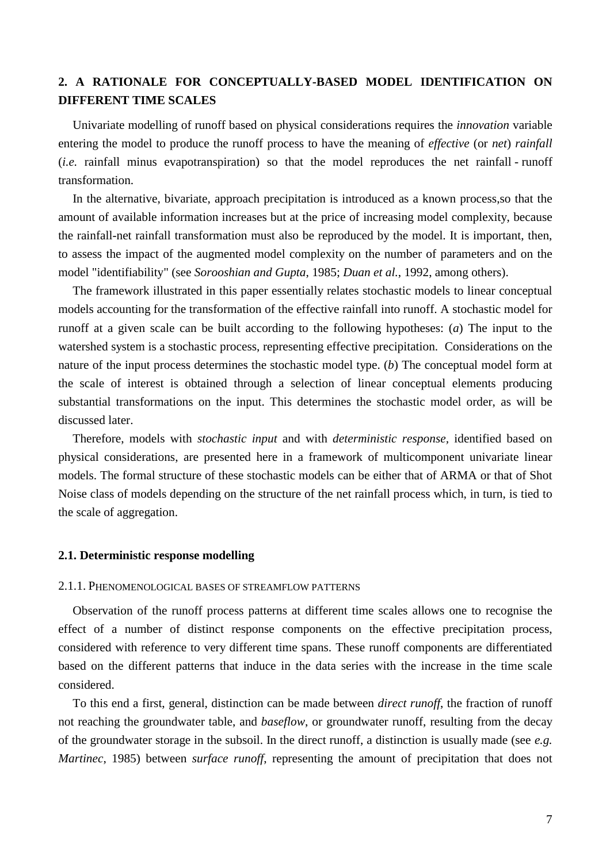# **2. A RATIONALE FOR CONCEPTUALLY-BASED MODEL IDENTIFICATION ON DIFFERENT TIME SCALES**

Univariate modelling of runoff based on physical considerations requires the *innovation* variable entering the model to produce the runoff process to have the meaning of *effective* (or *net*) *rainfall* (*i.e.* rainfall minus evapotranspiration) so that the model reproduces the net rainfall - runoff transformation.

In the alternative, bivariate, approach precipitation is introduced as a known process,so that the amount of available information increases but at the price of increasing model complexity, because the rainfall-net rainfall transformation must also be reproduced by the model. It is important, then, to assess the impact of the augmented model complexity on the number of parameters and on the model "identifiability" (see *Sorooshian and Gupta*, 1985; *Duan et al.*, 1992, among others).

The framework illustrated in this paper essentially relates stochastic models to linear conceptual models accounting for the transformation of the effective rainfall into runoff. A stochastic model for runoff at a given scale can be built according to the following hypotheses: (*a*) The input to the watershed system is a stochastic process, representing effective precipitation. Considerations on the nature of the input process determines the stochastic model type. (*b*) The conceptual model form at the scale of interest is obtained through a selection of linear conceptual elements producing substantial transformations on the input. This determines the stochastic model order, as will be discussed later.

Therefore, models with *stochastic input* and with *deterministic response,* identified based on physical considerations, are presented here in a framework of multicomponent univariate linear models. The formal structure of these stochastic models can be either that of ARMA or that of Shot Noise class of models depending on the structure of the net rainfall process which, in turn, is tied to the scale of aggregation.

## **2.1. Deterministic response modelling**

# 2.1.1. PHENOMENOLOGICAL BASES OF STREAMFLOW PATTERNS

Observation of the runoff process patterns at different time scales allows one to recognise the effect of a number of distinct response components on the effective precipitation process, considered with reference to very different time spans. These runoff components are differentiated based on the different patterns that induce in the data series with the increase in the time scale considered.

To this end a first, general, distinction can be made between *direct runoff*, the fraction of runoff not reaching the groundwater table, and *baseflow*, or groundwater runoff, resulting from the decay of the groundwater storage in the subsoil. In the direct runoff, a distinction is usually made (see *e.g. Martinec*, 1985) between *surface runoff*, representing the amount of precipitation that does not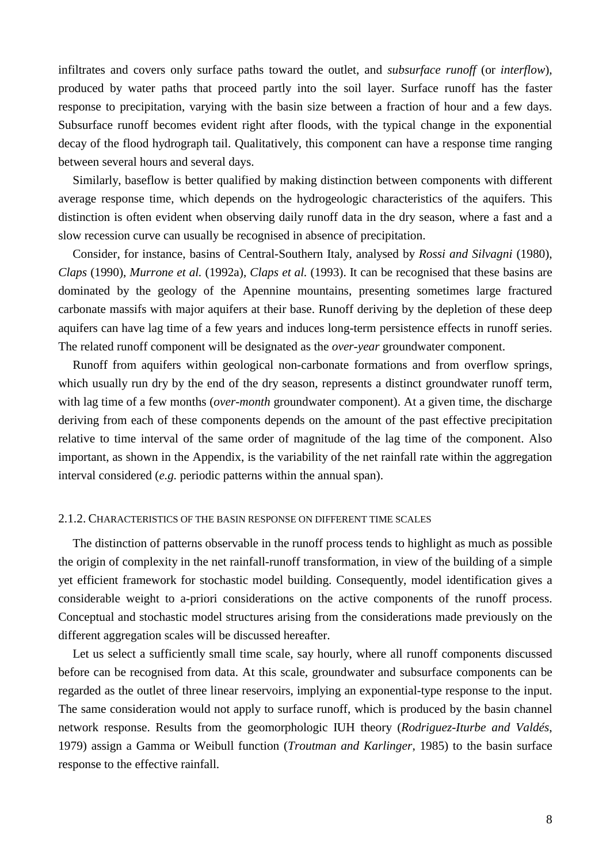infiltrates and covers only surface paths toward the outlet, and *subsurface runoff* (or *interflow*), produced by water paths that proceed partly into the soil layer. Surface runoff has the faster response to precipitation, varying with the basin size between a fraction of hour and a few days. Subsurface runoff becomes evident right after floods, with the typical change in the exponential decay of the flood hydrograph tail. Qualitatively, this component can have a response time ranging between several hours and several days.

Similarly, baseflow is better qualified by making distinction between components with different average response time, which depends on the hydrogeologic characteristics of the aquifers. This distinction is often evident when observing daily runoff data in the dry season, where a fast and a slow recession curve can usually be recognised in absence of precipitation.

Consider, for instance, basins of Central-Southern Italy, analysed by *Rossi and Silvagni* (1980), *Claps* (1990), *Murrone et al.* (1992a), *Claps et al.* (1993). It can be recognised that these basins are dominated by the geology of the Apennine mountains, presenting sometimes large fractured carbonate massifs with major aquifers at their base. Runoff deriving by the depletion of these deep aquifers can have lag time of a few years and induces long-term persistence effects in runoff series. The related runoff component will be designated as the *over-year* groundwater component.

Runoff from aquifers within geological non-carbonate formations and from overflow springs, which usually run dry by the end of the dry season, represents a distinct groundwater runoff term, with lag time of a few months (*over-month* groundwater component). At a given time, the discharge deriving from each of these components depends on the amount of the past effective precipitation relative to time interval of the same order of magnitude of the lag time of the component. Also important, as shown in the Appendix, is the variability of the net rainfall rate within the aggregation interval considered (*e.g.* periodic patterns within the annual span).

#### 2.1.2. CHARACTERISTICS OF THE BASIN RESPONSE ON DIFFERENT TIME SCALES

The distinction of patterns observable in the runoff process tends to highlight as much as possible the origin of complexity in the net rainfall-runoff transformation, in view of the building of a simple yet efficient framework for stochastic model building. Consequently, model identification gives a considerable weight to a-priori considerations on the active components of the runoff process. Conceptual and stochastic model structures arising from the considerations made previously on the different aggregation scales will be discussed hereafter.

Let us select a sufficiently small time scale, say hourly, where all runoff components discussed before can be recognised from data. At this scale, groundwater and subsurface components can be regarded as the outlet of three linear reservoirs, implying an exponential-type response to the input. The same consideration would not apply to surface runoff, which is produced by the basin channel network response. Results from the geomorphologic IUH theory (*Rodriguez-Iturbe and Valdés*, 1979) assign a Gamma or Weibull function (*Troutman and Karlinger*, 1985) to the basin surface response to the effective rainfall.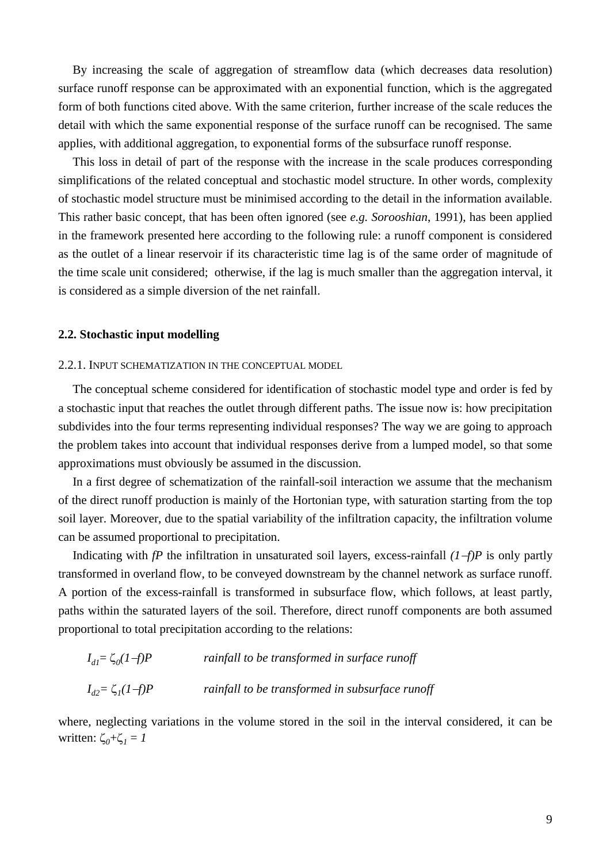By increasing the scale of aggregation of streamflow data (which decreases data resolution) surface runoff response can be approximated with an exponential function, which is the aggregated form of both functions cited above. With the same criterion, further increase of the scale reduces the detail with which the same exponential response of the surface runoff can be recognised. The same applies, with additional aggregation, to exponential forms of the subsurface runoff response.

This loss in detail of part of the response with the increase in the scale produces corresponding simplifications of the related conceptual and stochastic model structure. In other words, complexity of stochastic model structure must be minimised according to the detail in the information available. This rather basic concept, that has been often ignored (see *e.g. Sorooshian*, 1991), has been applied in the framework presented here according to the following rule: a runoff component is considered as the outlet of a linear reservoir if its characteristic time lag is of the same order of magnitude of the time scale unit considered; otherwise, if the lag is much smaller than the aggregation interval, it is considered as a simple diversion of the net rainfall.

## **2.2. Stochastic input modelling**

#### 2.2.1. INPUT SCHEMATIZATION IN THE CONCEPTUAL MODEL

The conceptual scheme considered for identification of stochastic model type and order is fed by a stochastic input that reaches the outlet through different paths. The issue now is: how precipitation subdivides into the four terms representing individual responses? The way we are going to approach the problem takes into account that individual responses derive from a lumped model, so that some approximations must obviously be assumed in the discussion.

In a first degree of schematization of the rainfall-soil interaction we assume that the mechanism of the direct runoff production is mainly of the Hortonian type, with saturation starting from the top soil layer. Moreover, due to the spatial variability of the infiltration capacity, the infiltration volume can be assumed proportional to precipitation.

Indicating with *fP* the infiltration in unsaturated soil layers, excess-rainfall *(1f)P* is only partly transformed in overland flow, to be conveyed downstream by the channel network as surface runoff. A portion of the excess-rainfall is transformed in subsurface flow, which follows, at least partly, paths within the saturated layers of the soil. Therefore, direct runoff components are both assumed proportional to total precipitation according to the relations:

| $I_{dI} = \zeta_0 (1-f)P$ | rainfall to be transformed in surface runoff    |
|---------------------------|-------------------------------------------------|
| $I_{d2} = \zeta_I (1-f)P$ | rainfall to be transformed in subsurface runoff |

where, neglecting variations in the volume stored in the soil in the interval considered, it can be written:  $\zeta_0 + \zeta_1 = 1$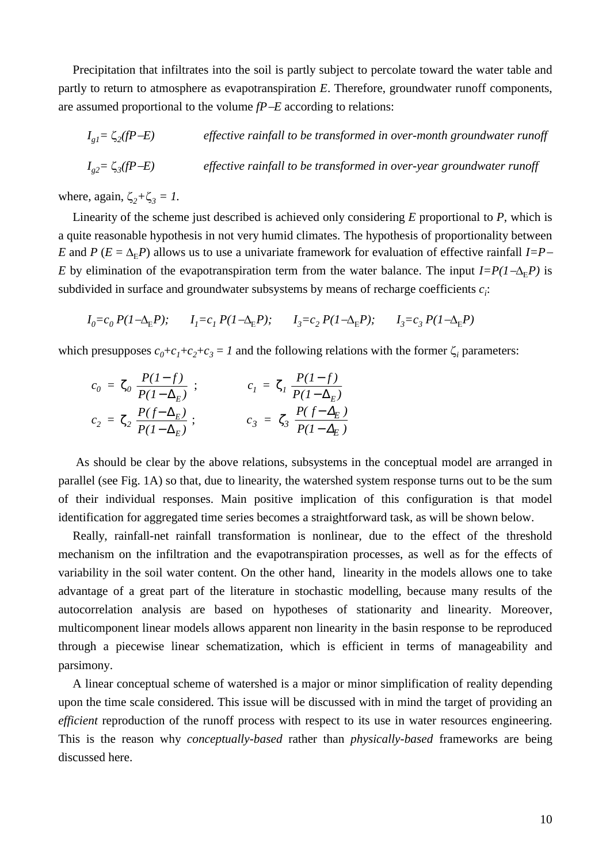Precipitation that infiltrates into the soil is partly subject to percolate toward the water table and partly to return to atmosphere as evapotranspiration *E*. Therefore, groundwater runoff components, are assumed proportional to the volume *fPE* according to relations:

$$
I_{g1} = \zeta_2(fP - E)
$$
 *effective rainfall to be transformed in over-month groundwater runoff*  

$$
I_{g2} = \zeta_3(fP - E)
$$
 *effective rainfall to be transformed in over-year groundwater runoff*

where, again,  $\zeta_2 + \zeta_3 = 1$ .

Linearity of the scheme just described is achieved only considering *E* proportional to *P*, which is a quite reasonable hypothesis in not very humid climates. The hypothesis of proportionality between *E* and *P* ( $E = \Delta_E P$ ) allows us to use a univariate framework for evaluation of effective rainfall *I=P E* by elimination of the evapotranspiration term from the water balance. The input  $I = P(1 - \Delta_E P)$  is subdivided in surface and groundwater subsystems by means of recharge coefficients  $c_i$ :

$$
I_0 = c_0 P (1 - \Delta_{\mathcal{E}} P); \qquad I_1 = c_1 P (1 - \Delta_{\mathcal{E}} P); \qquad I_3 = c_2 P (1 - \Delta_{\mathcal{E}} P); \qquad I_3 = c_3 P (1 - \Delta_{\mathcal{E}} P)
$$

which presupposes  $c_0 + c_1 + c_2 + c_3 = 1$  and the following relations with the former  $\zeta_i$  parameters:

$$
c_0 = \zeta_0 \frac{P(I-f)}{P(I-\Delta_E)}; \qquad c_1 = \zeta_1 \frac{P(I-f)}{P(I-\Delta_E)}
$$
  

$$
c_2 = \zeta_2 \frac{P(f-\Delta_E)}{P(I-\Delta_E)}; \qquad c_3 = \zeta_3 \frac{P(f-\Delta_E)}{P(I-\Delta_E)}
$$

 As should be clear by the above relations, subsystems in the conceptual model are arranged in parallel (see Fig. 1A) so that, due to linearity, the watershed system response turns out to be the sum of their individual responses. Main positive implication of this configuration is that model identification for aggregated time series becomes a straightforward task, as will be shown below.

Really, rainfall-net rainfall transformation is nonlinear, due to the effect of the threshold mechanism on the infiltration and the evapotranspiration processes, as well as for the effects of variability in the soil water content. On the other hand, linearity in the models allows one to take advantage of a great part of the literature in stochastic modelling, because many results of the autocorrelation analysis are based on hypotheses of stationarity and linearity. Moreover, multicomponent linear models allows apparent non linearity in the basin response to be reproduced through a piecewise linear schematization, which is efficient in terms of manageability and parsimony.

A linear conceptual scheme of watershed is a major or minor simplification of reality depending upon the time scale considered. This issue will be discussed with in mind the target of providing an *efficient* reproduction of the runoff process with respect to its use in water resources engineering. This is the reason why *conceptually-based* rather than *physically-based* frameworks are being discussed here.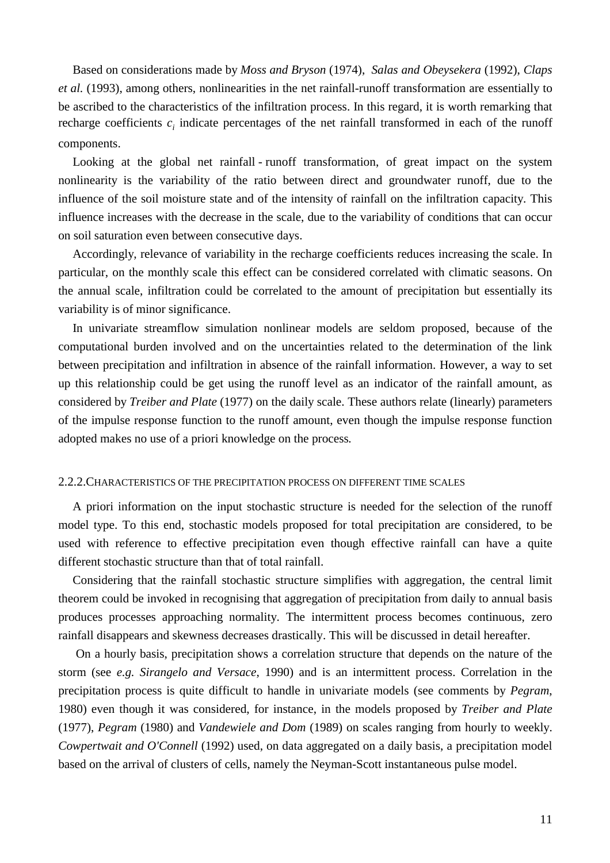Based on considerations made by *Moss and Bryson* (1974), *Salas and Obeysekera* (1992), *Claps et al.* (1993), among others, nonlinearities in the net rainfall-runoff transformation are essentially to be ascribed to the characteristics of the infiltration process. In this regard, it is worth remarking that recharge coefficients  $c_i$  indicate percentages of the net rainfall transformed in each of the runoff components.

Looking at the global net rainfall - runoff transformation, of great impact on the system nonlinearity is the variability of the ratio between direct and groundwater runoff, due to the influence of the soil moisture state and of the intensity of rainfall on the infiltration capacity. This influence increases with the decrease in the scale, due to the variability of conditions that can occur on soil saturation even between consecutive days.

Accordingly, relevance of variability in the recharge coefficients reduces increasing the scale. In particular, on the monthly scale this effect can be considered correlated with climatic seasons. On the annual scale, infiltration could be correlated to the amount of precipitation but essentially its variability is of minor significance.

In univariate streamflow simulation nonlinear models are seldom proposed, because of the computational burden involved and on the uncertainties related to the determination of the link between precipitation and infiltration in absence of the rainfall information. However, a way to set up this relationship could be get using the runoff level as an indicator of the rainfall amount, as considered by *Treiber and Plate* (1977) on the daily scale. These authors relate (linearly) parameters of the impulse response function to the runoff amount, even though the impulse response function adopted makes no use of a priori knowledge on the process*.*

## 2.2.2.CHARACTERISTICS OF THE PRECIPITATION PROCESS ON DIFFERENT TIME SCALES

A priori information on the input stochastic structure is needed for the selection of the runoff model type. To this end, stochastic models proposed for total precipitation are considered, to be used with reference to effective precipitation even though effective rainfall can have a quite different stochastic structure than that of total rainfall.

Considering that the rainfall stochastic structure simplifies with aggregation, the central limit theorem could be invoked in recognising that aggregation of precipitation from daily to annual basis produces processes approaching normality. The intermittent process becomes continuous, zero rainfall disappears and skewness decreases drastically. This will be discussed in detail hereafter.

 On a hourly basis, precipitation shows a correlation structure that depends on the nature of the storm (see *e.g. Sirangelo and Versace*, 1990) and is an intermittent process. Correlation in the precipitation process is quite difficult to handle in univariate models (see comments by *Pegram*, 1980) even though it was considered, for instance, in the models proposed by *Treiber and Plate* (1977), *Pegram* (1980) and *Vandewiele and Dom* (1989) on scales ranging from hourly to weekly. *Cowpertwait and O'Connell* (1992) used, on data aggregated on a daily basis, a precipitation model based on the arrival of clusters of cells, namely the Neyman-Scott instantaneous pulse model.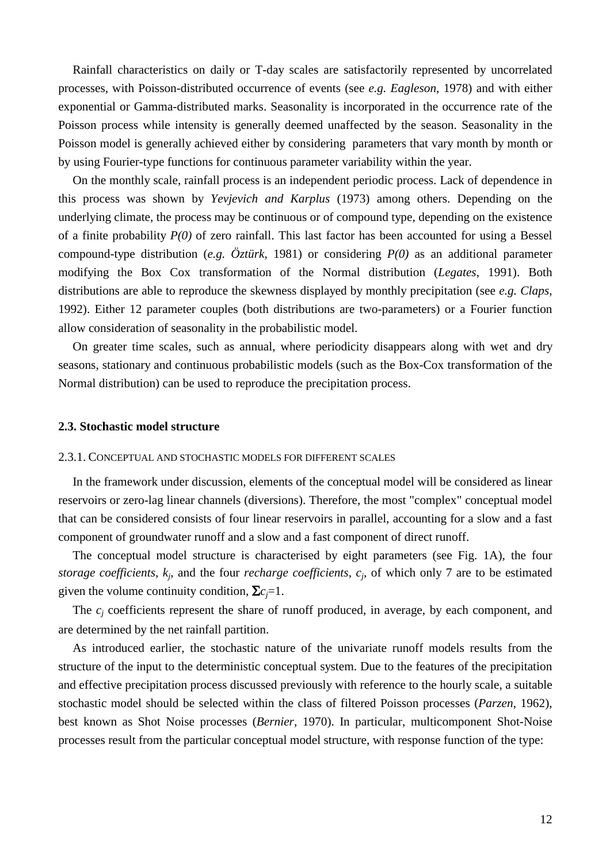Rainfall characteristics on daily or T-day scales are satisfactorily represented by uncorrelated processes, with Poisson-distributed occurrence of events (see *e.g. Eagleson*, 1978) and with either exponential or Gamma-distributed marks. Seasonality is incorporated in the occurrence rate of the Poisson process while intensity is generally deemed unaffected by the season. Seasonality in the Poisson model is generally achieved either by considering parameters that vary month by month or by using Fourier-type functions for continuous parameter variability within the year.

On the monthly scale, rainfall process is an independent periodic process. Lack of dependence in this process was shown by *Yevjevich and Karplus* (1973) among others. Depending on the underlying climate, the process may be continuous or of compound type, depending on the existence of a finite probability *P(0)* of zero rainfall. This last factor has been accounted for using a Bessel compound-type distribution (*e.g. Öztürk*, 1981) or considering *P(0)* as an additional parameter modifying the Box Cox transformation of the Normal distribution (*Legates*, 1991). Both distributions are able to reproduce the skewness displayed by monthly precipitation (see *e.g. Claps*, 1992). Either 12 parameter couples (both distributions are two-parameters) or a Fourier function allow consideration of seasonality in the probabilistic model.

On greater time scales, such as annual, where periodicity disappears along with wet and dry seasons, stationary and continuous probabilistic models (such as the Box-Cox transformation of the Normal distribution) can be used to reproduce the precipitation process.

#### **2.3. Stochastic model structure**

#### 2.3.1. CONCEPTUAL AND STOCHASTIC MODELS FOR DIFFERENT SCALES

In the framework under discussion, elements of the conceptual model will be considered as linear reservoirs or zero-lag linear channels (diversions). Therefore, the most "complex" conceptual model that can be considered consists of four linear reservoirs in parallel, accounting for a slow and a fast component of groundwater runoff and a slow and a fast component of direct runoff.

The conceptual model structure is characterised by eight parameters (see Fig. 1A), the four *storage coefficients*,  $k_j$ , and the four *recharge coefficients*,  $c_j$ , of which only 7 are to be estimated given the volume continuity condition,  $\Sigma c_j = 1$ .

The  $c_i$  coefficients represent the share of runoff produced, in average, by each component, and are determined by the net rainfall partition.

As introduced earlier, the stochastic nature of the univariate runoff models results from the structure of the input to the deterministic conceptual system. Due to the features of the precipitation and effective precipitation process discussed previously with reference to the hourly scale, a suitable stochastic model should be selected within the class of filtered Poisson processes (*Parzen*, 1962), best known as Shot Noise processes (*Bernier*, 1970). In particular, multicomponent Shot-Noise processes result from the particular conceptual model structure, with response function of the type: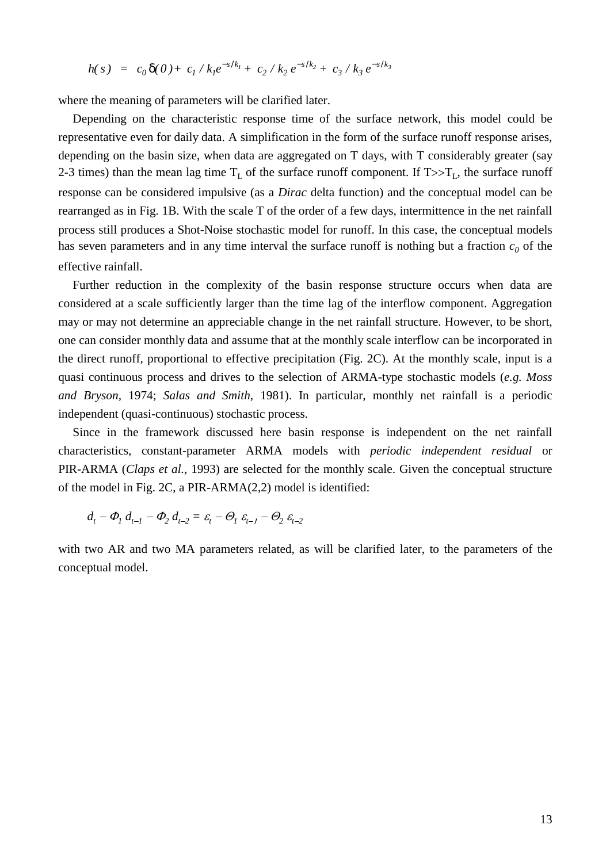$$
h(s) = c_0 \, \delta(0) + c_1 \, / \, k_1 e^{-s/k_1} + c_2 \, / \, k_2 \, e^{-s/k_2} + c_3 \, / \, k_3 \, e^{-s/k_3}
$$

where the meaning of parameters will be clarified later.

Depending on the characteristic response time of the surface network, this model could be representative even for daily data. A simplification in the form of the surface runoff response arises, depending on the basin size, when data are aggregated on T days, with T considerably greater (say 2-3 times) than the mean lag time  $T_L$  of the surface runoff component. If  $T \gg T_L$ , the surface runoff response can be considered impulsive (as a *Dirac* delta function) and the conceptual model can be rearranged as in Fig. 1B. With the scale T of the order of a few days, intermittence in the net rainfall process still produces a Shot-Noise stochastic model for runoff. In this case, the conceptual models has seven parameters and in any time interval the surface runoff is nothing but a fraction  $c_0$  of the effective rainfall.

Further reduction in the complexity of the basin response structure occurs when data are considered at a scale sufficiently larger than the time lag of the interflow component. Aggregation may or may not determine an appreciable change in the net rainfall structure. However, to be short, one can consider monthly data and assume that at the monthly scale interflow can be incorporated in the direct runoff, proportional to effective precipitation (Fig. 2C). At the monthly scale, input is a quasi continuous process and drives to the selection of ARMA-type stochastic models (*e.g. Moss and Bryson,* 1974; *Salas and Smith*, 1981). In particular, monthly net rainfall is a periodic independent (quasi-continuous) stochastic process.

Since in the framework discussed here basin response is independent on the net rainfall characteristics, constant-parameter ARMA models with *periodic independent residual* or PIR-ARMA (*Claps et al.*, 1993) are selected for the monthly scale. Given the conceptual structure of the model in Fig. 2C, a PIR-ARMA(2,2) model is identified:

$$
d_{t} - \Phi_{1} d_{t-1} - \Phi_{2} d_{t-2} = \varepsilon_{t} - \Theta_{1} \varepsilon_{t-1} - \Theta_{2} \varepsilon_{t-2}
$$

with two AR and two MA parameters related, as will be clarified later, to the parameters of the conceptual model.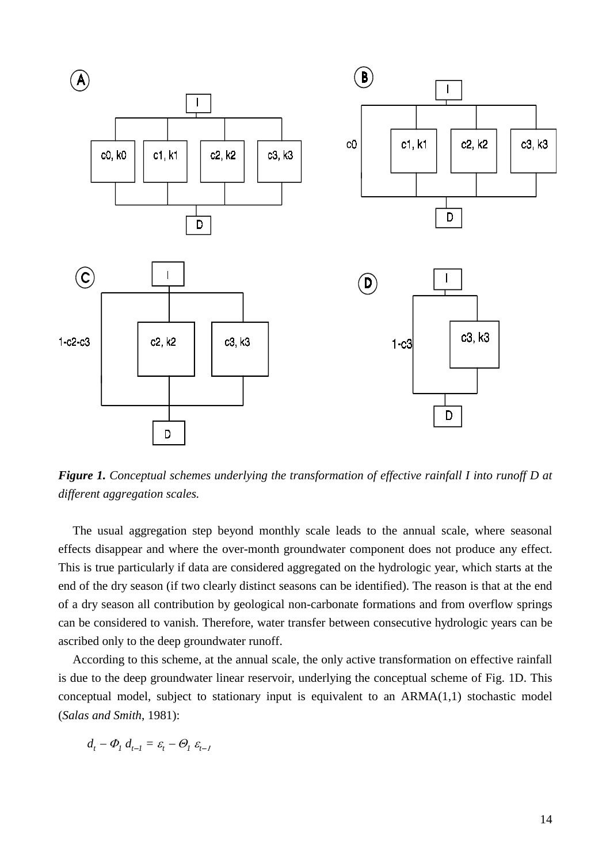

*Figure 1. Conceptual schemes underlying the transformation of effective rainfall I into runoff D at different aggregation scales.*

The usual aggregation step beyond monthly scale leads to the annual scale, where seasonal effects disappear and where the over-month groundwater component does not produce any effect. This is true particularly if data are considered aggregated on the hydrologic year, which starts at the end of the dry season (if two clearly distinct seasons can be identified). The reason is that at the end of a dry season all contribution by geological non-carbonate formations and from overflow springs can be considered to vanish. Therefore, water transfer between consecutive hydrologic years can be ascribed only to the deep groundwater runoff.

According to this scheme, at the annual scale, the only active transformation on effective rainfall is due to the deep groundwater linear reservoir, underlying the conceptual scheme of Fig. 1D. This conceptual model, subject to stationary input is equivalent to an ARMA(1,1) stochastic model (*Salas and Smith*, 1981):

$$
d_t - \Phi_1 d_{t-1} = \varepsilon_t - \Theta_1 \varepsilon_{t-1}
$$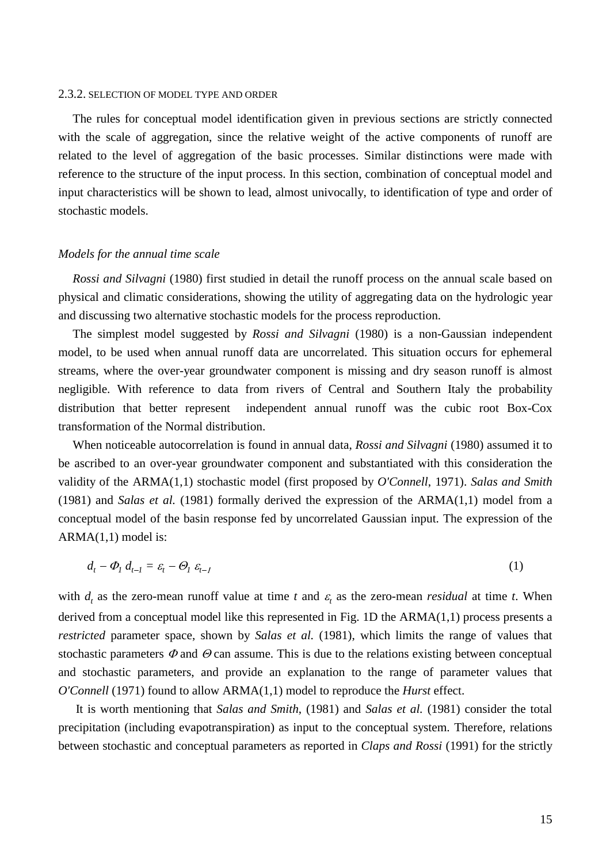#### 2.3.2. SELECTION OF MODEL TYPE AND ORDER

The rules for conceptual model identification given in previous sections are strictly connected with the scale of aggregation, since the relative weight of the active components of runoff are related to the level of aggregation of the basic processes. Similar distinctions were made with reference to the structure of the input process. In this section, combination of conceptual model and input characteristics will be shown to lead, almost univocally, to identification of type and order of stochastic models.

# *Models for the annual time scale*

*Rossi and Silvagni* (1980) first studied in detail the runoff process on the annual scale based on physical and climatic considerations, showing the utility of aggregating data on the hydrologic year and discussing two alternative stochastic models for the process reproduction.

The simplest model suggested by *Rossi and Silvagni* (1980) is a non-Gaussian independent model, to be used when annual runoff data are uncorrelated. This situation occurs for ephemeral streams, where the over-year groundwater component is missing and dry season runoff is almost negligible. With reference to data from rivers of Central and Southern Italy the probability distribution that better represent independent annual runoff was the cubic root Box-Cox transformation of the Normal distribution.

When noticeable autocorrelation is found in annual data, *Rossi and Silvagni* (1980) assumed it to be ascribed to an over-year groundwater component and substantiated with this consideration the validity of the ARMA(1,1) stochastic model (first proposed by *O'Connell*, 1971). *Salas and Smith* (1981) and *Salas et al.* (1981) formally derived the expression of the ARMA(1,1) model from a conceptual model of the basin response fed by uncorrelated Gaussian input. The expression of the  $ARMA(1,1) \text{ model is:}$ 

$$
d_t - \Phi_1 d_{t-1} = \varepsilon_t - \Theta_1 \varepsilon_{t-1} \tag{1}
$$

with  $d_t$  as the zero-mean runoff value at time *t* and  $\varepsilon_t$  as the zero-mean *residual* at time *t*. When derived from a conceptual model like this represented in Fig. 1D the ARMA(1,1) process presents a *restricted* parameter space, shown by *Salas et al.* (1981), which limits the range of values that stochastic parameters  $\Phi$  and  $\Theta$  can assume. This is due to the relations existing between conceptual and stochastic parameters, and provide an explanation to the range of parameter values that *O'Connell* (1971) found to allow ARMA(1,1) model to reproduce the *Hurst* effect.

 It is worth mentioning that *Salas and Smith*, (1981) and *Salas et al.* (1981) consider the total precipitation (including evapotranspiration) as input to the conceptual system. Therefore, relations between stochastic and conceptual parameters as reported in *Claps and Rossi* (1991) for the strictly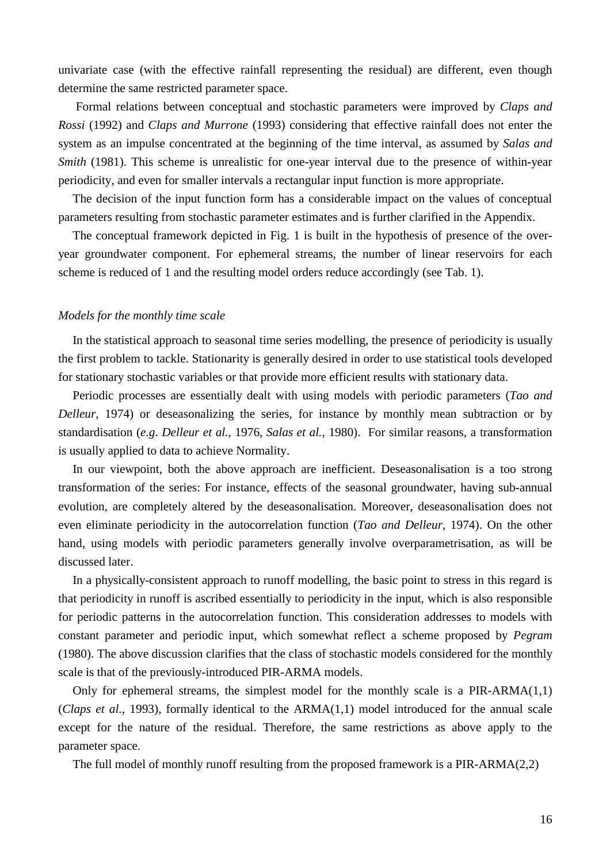univariate case (with the effective rainfall representing the residual) are different, even though determine the same restricted parameter space.

 Formal relations between conceptual and stochastic parameters were improved by *Claps and Rossi* (1992) and *Claps and Murrone* (1993) considering that effective rainfall does not enter the system as an impulse concentrated at the beginning of the time interval, as assumed by *Salas and Smith* (1981). This scheme is unrealistic for one-year interval due to the presence of within-year periodicity, and even for smaller intervals a rectangular input function is more appropriate.

The decision of the input function form has a considerable impact on the values of conceptual parameters resulting from stochastic parameter estimates and is further clarified in the Appendix.

The conceptual framework depicted in Fig. 1 is built in the hypothesis of presence of the overyear groundwater component. For ephemeral streams, the number of linear reservoirs for each scheme is reduced of 1 and the resulting model orders reduce accordingly (see Tab. 1).

#### *Models for the monthly time scale*

In the statistical approach to seasonal time series modelling, the presence of periodicity is usually the first problem to tackle. Stationarity is generally desired in order to use statistical tools developed for stationary stochastic variables or that provide more efficient results with stationary data.

Periodic processes are essentially dealt with using models with periodic parameters (*Tao and Delleur*, 1974) or deseasonalizing the series, for instance by monthly mean subtraction or by standardisation (*e.g*. *Delleur et al.,* 1976, *Salas et al.*, 1980). For similar reasons, a transformation is usually applied to data to achieve Normality.

In our viewpoint, both the above approach are inefficient. Deseasonalisation is a too strong transformation of the series: For instance, effects of the seasonal groundwater, having sub-annual evolution, are completely altered by the deseasonalisation. Moreover, deseasonalisation does not even eliminate periodicity in the autocorrelation function (*Tao and Delleur*, 1974). On the other hand, using models with periodic parameters generally involve overparametrisation, as will be discussed later.

In a physically-consistent approach to runoff modelling, the basic point to stress in this regard is that periodicity in runoff is ascribed essentially to periodicity in the input, which is also responsible for periodic patterns in the autocorrelation function. This consideration addresses to models with constant parameter and periodic input, which somewhat reflect a scheme proposed by *Pegram* (1980). The above discussion clarifies that the class of stochastic models considered for the monthly scale is that of the previously-introduced PIR-ARMA models.

Only for ephemeral streams, the simplest model for the monthly scale is a PIR-ARMA(1,1) (*Claps et al.*, 1993), formally identical to the ARMA(1,1) model introduced for the annual scale except for the nature of the residual. Therefore, the same restrictions as above apply to the parameter space.

The full model of monthly runoff resulting from the proposed framework is a PIR-ARMA(2,2)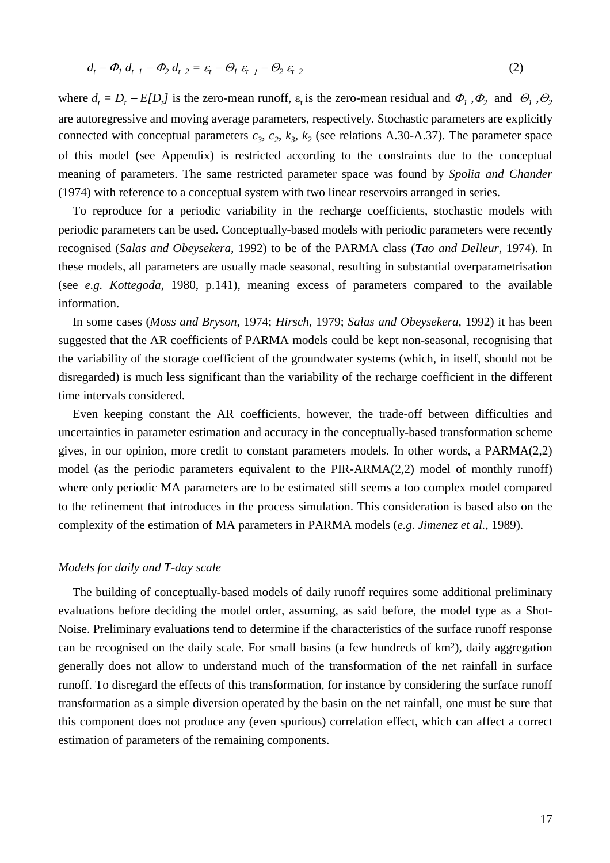$$
d_t - \Phi_1 d_{t-1} - \Phi_2 d_{t-2} = \varepsilon_t - \Theta_1 \varepsilon_{t-1} - \Theta_2 \varepsilon_{t-2}
$$
\n<sup>(2)</sup>

where  $d_t = D_t - E[D_t]$  is the zero-mean runoff,  $\varepsilon_t$  is the zero-mean residual and  $\Phi_1$ ,  $\Phi_2$  and  $\Theta_1$ ,  $\Theta_2$ are autoregressive and moving average parameters, respectively. Stochastic parameters are explicitly connected with conceptual parameters  $c_3$ ,  $c_2$ ,  $k_3$ ,  $k_2$  (see relations A.30-A.37). The parameter space of this model (see Appendix) is restricted according to the constraints due to the conceptual meaning of parameters. The same restricted parameter space was found by *Spolia and Chander* (1974) with reference to a conceptual system with two linear reservoirs arranged in series.

To reproduce for a periodic variability in the recharge coefficients, stochastic models with periodic parameters can be used. Conceptually-based models with periodic parameters were recently recognised (*Salas and Obeysekera,* 1992) to be of the PARMA class (*Tao and Delleur,* 1974). In these models, all parameters are usually made seasonal, resulting in substantial overparametrisation (see *e.g. Kottegoda*, 1980, p.141), meaning excess of parameters compared to the available information.

In some cases (*Moss and Bryson*, 1974; *Hirsch,* 1979; *Salas and Obeysekera,* 1992) it has been suggested that the AR coefficients of PARMA models could be kept non-seasonal, recognising that the variability of the storage coefficient of the groundwater systems (which, in itself, should not be disregarded) is much less significant than the variability of the recharge coefficient in the different time intervals considered.

Even keeping constant the AR coefficients, however, the trade-off between difficulties and uncertainties in parameter estimation and accuracy in the conceptually-based transformation scheme gives, in our opinion, more credit to constant parameters models. In other words, a PARMA(2,2) model (as the periodic parameters equivalent to the PIR-ARMA(2,2) model of monthly runoff) where only periodic MA parameters are to be estimated still seems a too complex model compared to the refinement that introduces in the process simulation. This consideration is based also on the complexity of the estimation of MA parameters in PARMA models (*e.g. Jimenez et al.*, 1989).

# *Models for daily and T-day scale*

The building of conceptually-based models of daily runoff requires some additional preliminary evaluations before deciding the model order, assuming, as said before, the model type as a Shot-Noise. Preliminary evaluations tend to determine if the characteristics of the surface runoff response can be recognised on the daily scale. For small basins (a few hundreds of km2), daily aggregation generally does not allow to understand much of the transformation of the net rainfall in surface runoff. To disregard the effects of this transformation, for instance by considering the surface runoff transformation as a simple diversion operated by the basin on the net rainfall, one must be sure that this component does not produce any (even spurious) correlation effect, which can affect a correct estimation of parameters of the remaining components.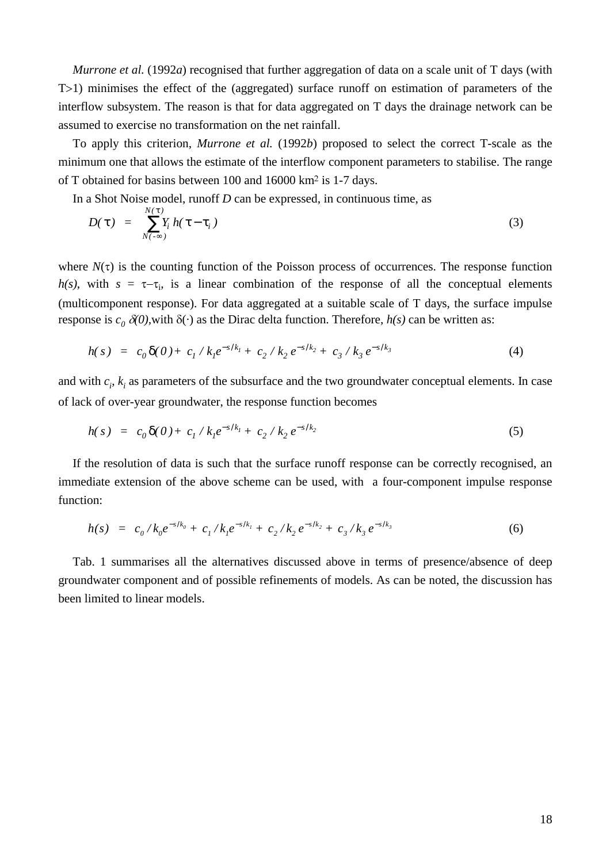*Murrone et al.* (1992*a*) recognised that further aggregation of data on a scale unit of T days (with T > 1) minimises the effect of the (aggregated) surface runoff on estimation of parameters of the interflow subsystem. The reason is that for data aggregated on T days the drainage network can be assumed to exercise no transformation on the net rainfall.

To apply this criterion, *Murrone et al.* (1992*b*) proposed to select the correct T-scale as the minimum one that allows the estimate of the interflow component parameters to stabilise. The range of T obtained for basins between 100 and 16000 km<sup>2</sup> is 1-7 days.

In a Shot Noise model, runoff *D* can be expressed, in continuous time, as

$$
D(\tau) = \sum_{N(-\infty)}^{N(\tau)} Y_i h(\tau - \tau_i)
$$
\n(3)

where  $N(\tau)$  is the counting function of the Poisson process of occurrences. The response function  $h(s)$ , with  $s = \tau - \tau_i$ , is a linear combination of the response of all the conceptual elements (multicomponent response). For data aggregated at a suitable scale of T days, the surface impulse response is  $c_0 \, \delta(0)$ , with  $\delta(\cdot)$  as the Dirac delta function. Therefore,  $h(s)$  can be written as:

$$
h(s) = c_0 \delta(0) + c_1 / k_1 e^{-s/k_1} + c_2 / k_2 e^{-s/k_2} + c_3 / k_3 e^{-s/k_3}
$$
 (4)

and with  $c_i$ ,  $k_i$  as parameters of the subsurface and the two groundwater conceptual elements. In case of lack of over-year groundwater, the response function becomes

$$
h(s) = c_0 \delta(0) + c_1 / k_1 e^{-s/k_1} + c_2 / k_2 e^{-s/k_2}
$$
 (5)

If the resolution of data is such that the surface runoff response can be correctly recognised, an immediate extension of the above scheme can be used, with a four-component impulse response function:

$$
h(s) = c_0 / k_0 e^{-s/k_0} + c_1 / k_1 e^{-s/k_1} + c_2 / k_2 e^{-s/k_2} + c_3 / k_3 e^{-s/k_3}
$$
 (6)

Tab. 1 summarises all the alternatives discussed above in terms of presence/absence of deep groundwater component and of possible refinements of models. As can be noted, the discussion has been limited to linear models.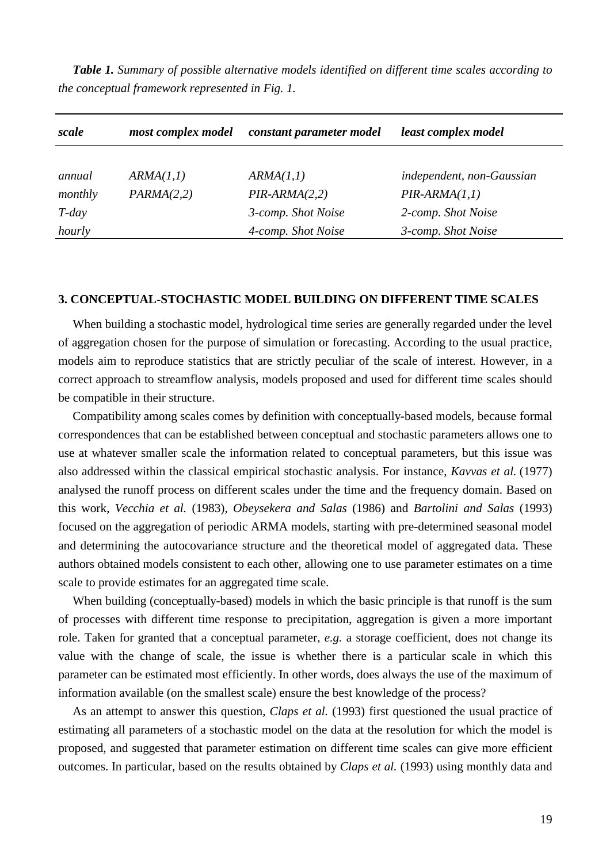*Table 1. Summary of possible alternative models identified on different time scales according to the conceptual framework represented in Fig. 1.*

| scale    | most complex model | constant parameter model | least complex model       |  |
|----------|--------------------|--------------------------|---------------------------|--|
|          |                    |                          |                           |  |
| annual   | ARMA(1,1)          | ARMA(1,1)                | independent, non-Gaussian |  |
| monthly  | PARMA(2,2)         | $PIR-ARMA(2,2)$          | $PIR-ARMA(1,1)$           |  |
| $T$ -day |                    | 3-comp. Shot Noise       | 2-comp. Shot Noise        |  |
| hourly   |                    | 4-comp. Shot Noise       | 3-comp. Shot Noise        |  |

## **3. CONCEPTUAL-STOCHASTIC MODEL BUILDING ON DIFFERENT TIME SCALES**

When building a stochastic model, hydrological time series are generally regarded under the level of aggregation chosen for the purpose of simulation or forecasting. According to the usual practice, models aim to reproduce statistics that are strictly peculiar of the scale of interest. However, in a correct approach to streamflow analysis, models proposed and used for different time scales should be compatible in their structure.

Compatibility among scales comes by definition with conceptually-based models, because formal correspondences that can be established between conceptual and stochastic parameters allows one to use at whatever smaller scale the information related to conceptual parameters, but this issue was also addressed within the classical empirical stochastic analysis. For instance, *Kavvas et al.* (1977) analysed the runoff process on different scales under the time and the frequency domain. Based on this work, *Vecchia et al.* (1983), *Obeysekera and Salas* (1986) and *Bartolini and Salas* (1993) focused on the aggregation of periodic ARMA models, starting with pre-determined seasonal model and determining the autocovariance structure and the theoretical model of aggregated data. These authors obtained models consistent to each other, allowing one to use parameter estimates on a time scale to provide estimates for an aggregated time scale.

When building (conceptually-based) models in which the basic principle is that runoff is the sum of processes with different time response to precipitation, aggregation is given a more important role. Taken for granted that a conceptual parameter, *e.g.* a storage coefficient, does not change its value with the change of scale, the issue is whether there is a particular scale in which this parameter can be estimated most efficiently. In other words, does always the use of the maximum of information available (on the smallest scale) ensure the best knowledge of the process?

As an attempt to answer this question, *Claps et al.* (1993) first questioned the usual practice of estimating all parameters of a stochastic model on the data at the resolution for which the model is proposed, and suggested that parameter estimation on different time scales can give more efficient outcomes. In particular, based on the results obtained by *Claps et al.* (1993) using monthly data and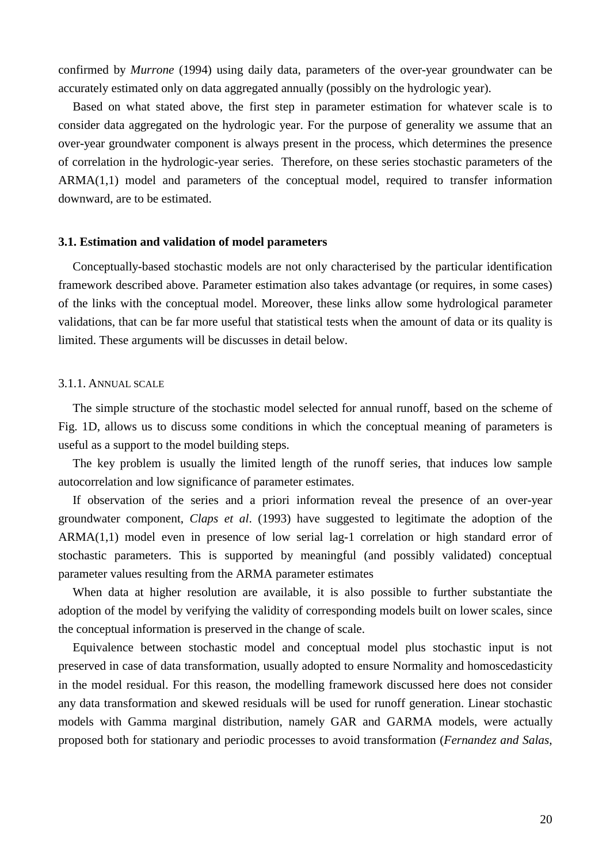confirmed by *Murrone* (1994) using daily data, parameters of the over-year groundwater can be accurately estimated only on data aggregated annually (possibly on the hydrologic year).

Based on what stated above, the first step in parameter estimation for whatever scale is to consider data aggregated on the hydrologic year. For the purpose of generality we assume that an over-year groundwater component is always present in the process, which determines the presence of correlation in the hydrologic-year series. Therefore, on these series stochastic parameters of the ARMA(1,1) model and parameters of the conceptual model, required to transfer information downward, are to be estimated.

## **3.1. Estimation and validation of model parameters**

Conceptually-based stochastic models are not only characterised by the particular identification framework described above. Parameter estimation also takes advantage (or requires, in some cases) of the links with the conceptual model. Moreover, these links allow some hydrological parameter validations, that can be far more useful that statistical tests when the amount of data or its quality is limited. These arguments will be discusses in detail below.

#### 3.1.1. ANNUAL SCALE

The simple structure of the stochastic model selected for annual runoff, based on the scheme of Fig. 1D, allows us to discuss some conditions in which the conceptual meaning of parameters is useful as a support to the model building steps.

The key problem is usually the limited length of the runoff series, that induces low sample autocorrelation and low significance of parameter estimates.

If observation of the series and a priori information reveal the presence of an over-year groundwater component, *Claps et al*. (1993) have suggested to legitimate the adoption of the ARMA(1,1) model even in presence of low serial lag-1 correlation or high standard error of stochastic parameters. This is supported by meaningful (and possibly validated) conceptual parameter values resulting from the ARMA parameter estimates

When data at higher resolution are available, it is also possible to further substantiate the adoption of the model by verifying the validity of corresponding models built on lower scales, since the conceptual information is preserved in the change of scale.

Equivalence between stochastic model and conceptual model plus stochastic input is not preserved in case of data transformation, usually adopted to ensure Normality and homoscedasticity in the model residual. For this reason, the modelling framework discussed here does not consider any data transformation and skewed residuals will be used for runoff generation. Linear stochastic models with Gamma marginal distribution, namely GAR and GARMA models, were actually proposed both for stationary and periodic processes to avoid transformation (*Fernandez and Salas*,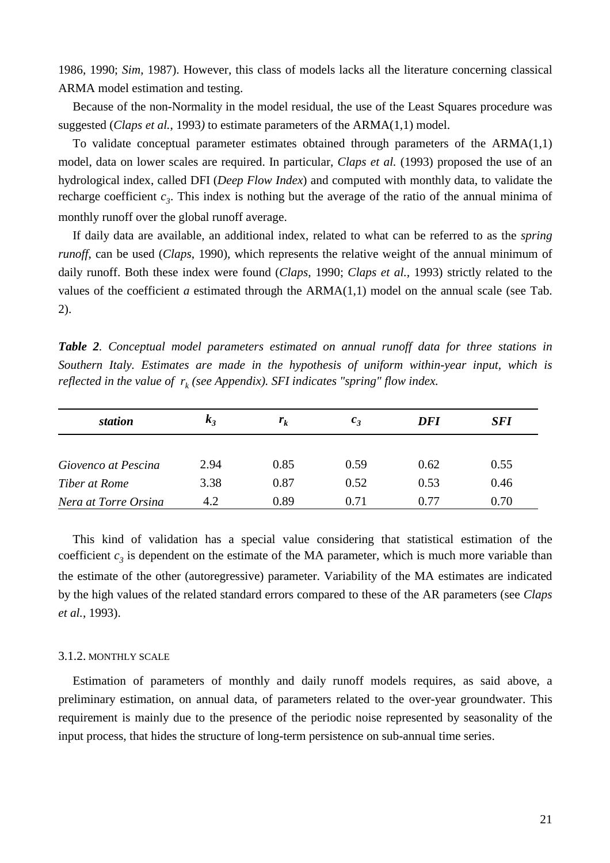1986, 1990; *Sim*, 1987). However, this class of models lacks all the literature concerning classical ARMA model estimation and testing.

Because of the non-Normality in the model residual, the use of the Least Squares procedure was suggested (*Claps et al.*, 1993*)* to estimate parameters of the ARMA(1,1) model.

To validate conceptual parameter estimates obtained through parameters of the ARMA(1,1) model, data on lower scales are required. In particular, *Claps et al.* (1993) proposed the use of an hydrological index, called DFI (*Deep Flow Index*) and computed with monthly data, to validate the recharge coefficient  $c_3$ . This index is nothing but the average of the ratio of the annual minima of monthly runoff over the global runoff average.

If daily data are available, an additional index, related to what can be referred to as the *spring runoff*, can be used (*Claps*, 1990), which represents the relative weight of the annual minimum of daily runoff. Both these index were found (*Claps*, 1990; *Claps et al.,* 1993) strictly related to the values of the coefficient *a* estimated through the  $ARMA(1,1)$  model on the annual scale (see Tab. 2).

*Table 2. Conceptual model parameters estimated on annual runoff data for three stations in Southern Italy. Estimates are made in the hypothesis of uniform within-year input, which is reflected in the value of*  $r_k$  *(see Appendix). SFI indicates "spring" flow index.* 

| station              | $\kappa_{\lambda}$ | $r_{k}$ | $c_{3}$ | DFI  | <b>SFI</b> |
|----------------------|--------------------|---------|---------|------|------------|
| Giovenco at Pescina  | 2.94               | 0.85    | 0.59    | 0.62 | 0.55       |
| Tiber at Rome        | 3.38               | 0.87    | 0.52    | 0.53 | 0.46       |
| Nera at Torre Orsina | 4.2                | 0.89    | 0.71    | 0.77 | 0.70       |

This kind of validation has a special value considering that statistical estimation of the coefficient  $c_3$  is dependent on the estimate of the MA parameter, which is much more variable than the estimate of the other (autoregressive) parameter. Variability of the MA estimates are indicated by the high values of the related standard errors compared to these of the AR parameters (see *Claps et al.*, 1993).

#### 3.1.2. MONTHLY SCALE

Estimation of parameters of monthly and daily runoff models requires, as said above, a preliminary estimation, on annual data, of parameters related to the over-year groundwater. This requirement is mainly due to the presence of the periodic noise represented by seasonality of the input process, that hides the structure of long-term persistence on sub-annual time series.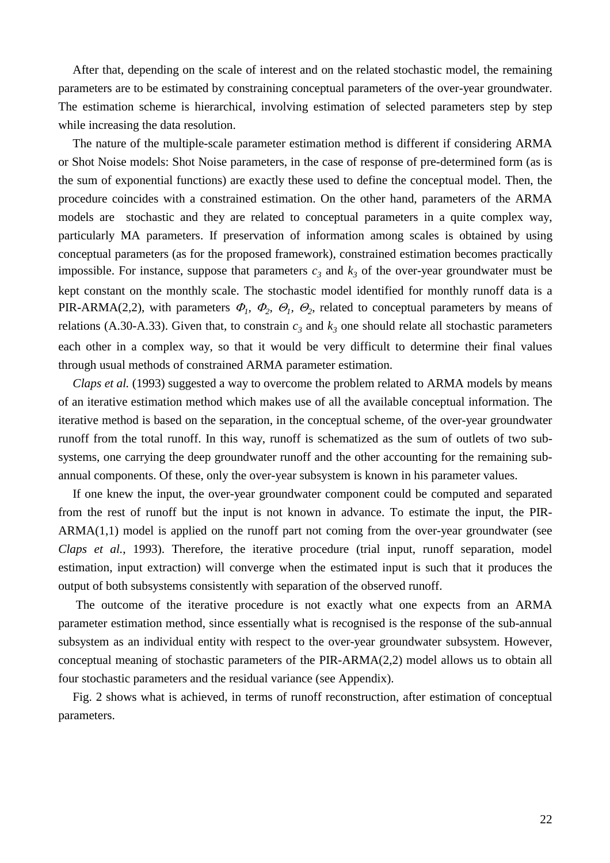After that, depending on the scale of interest and on the related stochastic model, the remaining parameters are to be estimated by constraining conceptual parameters of the over-year groundwater. The estimation scheme is hierarchical, involving estimation of selected parameters step by step while increasing the data resolution.

The nature of the multiple-scale parameter estimation method is different if considering ARMA or Shot Noise models: Shot Noise parameters, in the case of response of pre-determined form (as is the sum of exponential functions) are exactly these used to define the conceptual model. Then, the procedure coincides with a constrained estimation. On the other hand, parameters of the ARMA models are stochastic and they are related to conceptual parameters in a quite complex way, particularly MA parameters. If preservation of information among scales is obtained by using conceptual parameters (as for the proposed framework), constrained estimation becomes practically impossible. For instance, suppose that parameters  $c_3$  and  $k_3$  of the over-year groundwater must be kept constant on the monthly scale. The stochastic model identified for monthly runoff data is a PIR-ARMA(2,2), with parameters  $\Phi_1$ ,  $\Phi_2$ ,  $\Theta_1$ ,  $\Theta_2$ , related to conceptual parameters by means of relations (A.30-A.33). Given that, to constrain  $c_3$  and  $k_3$  one should relate all stochastic parameters each other in a complex way, so that it would be very difficult to determine their final values through usual methods of constrained ARMA parameter estimation.

*Claps et al.* (1993) suggested a way to overcome the problem related to ARMA models by means of an iterative estimation method which makes use of all the available conceptual information. The iterative method is based on the separation, in the conceptual scheme, of the over-year groundwater runoff from the total runoff. In this way, runoff is schematized as the sum of outlets of two subsystems, one carrying the deep groundwater runoff and the other accounting for the remaining subannual components. Of these, only the over-year subsystem is known in his parameter values.

If one knew the input, the over-year groundwater component could be computed and separated from the rest of runoff but the input is not known in advance. To estimate the input, the PIR-ARMA(1,1) model is applied on the runoff part not coming from the over-year groundwater (see *Claps et al.*, 1993). Therefore, the iterative procedure (trial input, runoff separation, model estimation, input extraction) will converge when the estimated input is such that it produces the output of both subsystems consistently with separation of the observed runoff.

 The outcome of the iterative procedure is not exactly what one expects from an ARMA parameter estimation method, since essentially what is recognised is the response of the sub-annual subsystem as an individual entity with respect to the over-year groundwater subsystem. However, conceptual meaning of stochastic parameters of the PIR-ARMA(2,2) model allows us to obtain all four stochastic parameters and the residual variance (see Appendix).

Fig. 2 shows what is achieved, in terms of runoff reconstruction, after estimation of conceptual parameters.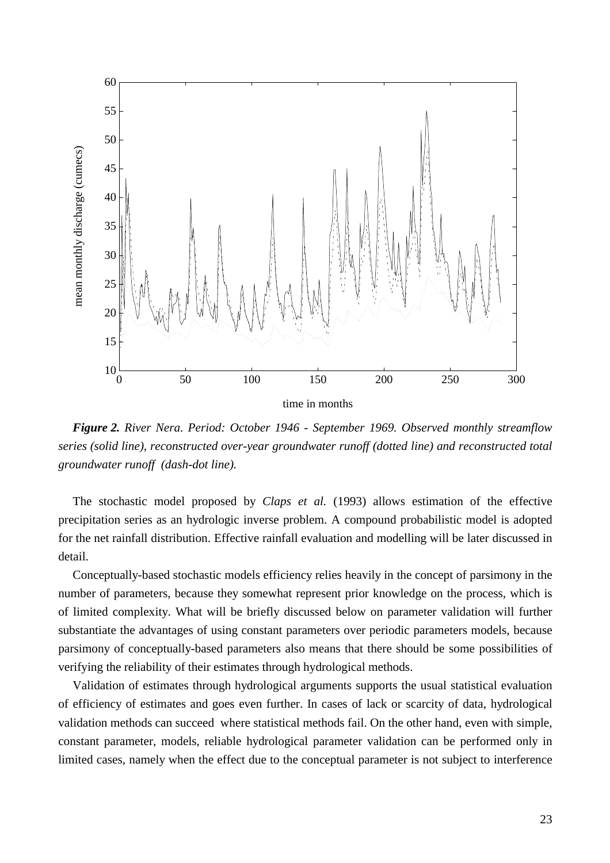

*Figure 2. River Nera. Period: October 1946 - September 1969. Observed monthly streamflow series (solid line), reconstructed over-year groundwater runoff (dotted line) and reconstructed total groundwater runoff (dash-dot line).*

The stochastic model proposed by *Claps et al.* (1993) allows estimation of the effective precipitation series as an hydrologic inverse problem. A compound probabilistic model is adopted for the net rainfall distribution. Effective rainfall evaluation and modelling will be later discussed in detail.

Conceptually-based stochastic models efficiency relies heavily in the concept of parsimony in the number of parameters, because they somewhat represent prior knowledge on the process, which is of limited complexity. What will be briefly discussed below on parameter validation will further substantiate the advantages of using constant parameters over periodic parameters models, because parsimony of conceptually-based parameters also means that there should be some possibilities of verifying the reliability of their estimates through hydrological methods.

Validation of estimates through hydrological arguments supports the usual statistical evaluation of efficiency of estimates and goes even further. In cases of lack or scarcity of data, hydrological validation methods can succeed where statistical methods fail. On the other hand, even with simple, constant parameter, models, reliable hydrological parameter validation can be performed only in limited cases, namely when the effect due to the conceptual parameter is not subject to interference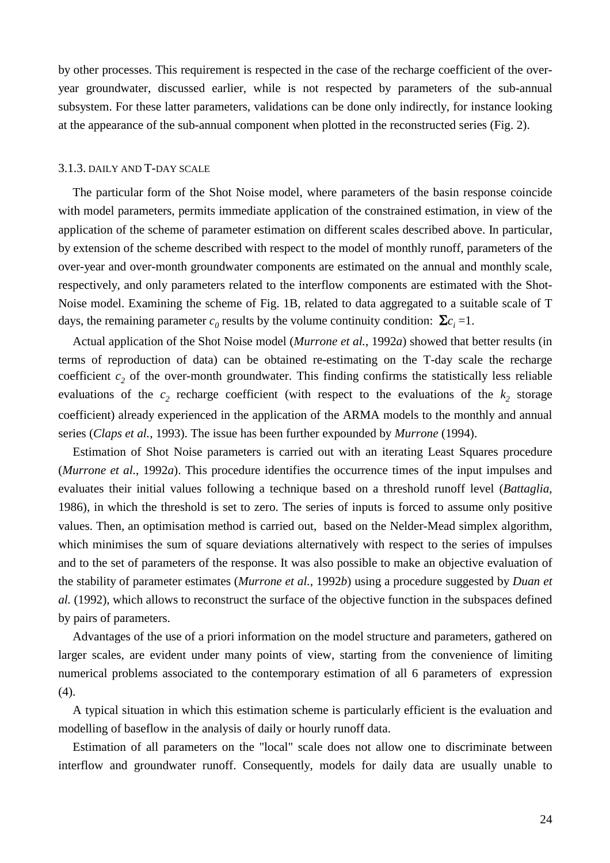by other processes. This requirement is respected in the case of the recharge coefficient of the overyear groundwater, discussed earlier, while is not respected by parameters of the sub-annual subsystem. For these latter parameters, validations can be done only indirectly, for instance looking at the appearance of the sub-annual component when plotted in the reconstructed series (Fig. 2).

## 3.1.3. DAILY AND T-DAY SCALE

The particular form of the Shot Noise model, where parameters of the basin response coincide with model parameters, permits immediate application of the constrained estimation, in view of the application of the scheme of parameter estimation on different scales described above. In particular, by extension of the scheme described with respect to the model of monthly runoff, parameters of the over-year and over-month groundwater components are estimated on the annual and monthly scale, respectively, and only parameters related to the interflow components are estimated with the Shot-Noise model. Examining the scheme of Fig. 1B, related to data aggregated to a suitable scale of T days, the remaining parameter  $c_0$  results by the volume continuity condition:  $\Sigma c_i = 1$ .

Actual application of the Shot Noise model (*Murrone et al.*, 1992*a*) showed that better results (in terms of reproduction of data) can be obtained re-estimating on the T-day scale the recharge coefficient  $c_2$  of the over-month groundwater. This finding confirms the statistically less reliable evaluations of the  $c_2$  recharge coefficient (with respect to the evaluations of the  $k_2$  storage coefficient) already experienced in the application of the ARMA models to the monthly and annual series (*Claps et al.*, 1993). The issue has been further expounded by *Murrone* (1994).

Estimation of Shot Noise parameters is carried out with an iterating Least Squares procedure (*Murrone et al.*, 1992*a*). This procedure identifies the occurrence times of the input impulses and evaluates their initial values following a technique based on a threshold runoff level (*Battaglia*, 1986), in which the threshold is set to zero. The series of inputs is forced to assume only positive values. Then, an optimisation method is carried out, based on the Nelder-Mead simplex algorithm, which minimises the sum of square deviations alternatively with respect to the series of impulses and to the set of parameters of the response. It was also possible to make an objective evaluation of the stability of parameter estimates (*Murrone et al.,* 1992*b*) using a procedure suggested by *Duan et al.* (1992), which allows to reconstruct the surface of the objective function in the subspaces defined by pairs of parameters.

Advantages of the use of a priori information on the model structure and parameters, gathered on larger scales, are evident under many points of view, starting from the convenience of limiting numerical problems associated to the contemporary estimation of all 6 parameters of expression (4).

A typical situation in which this estimation scheme is particularly efficient is the evaluation and modelling of baseflow in the analysis of daily or hourly runoff data.

Estimation of all parameters on the "local" scale does not allow one to discriminate between interflow and groundwater runoff. Consequently, models for daily data are usually unable to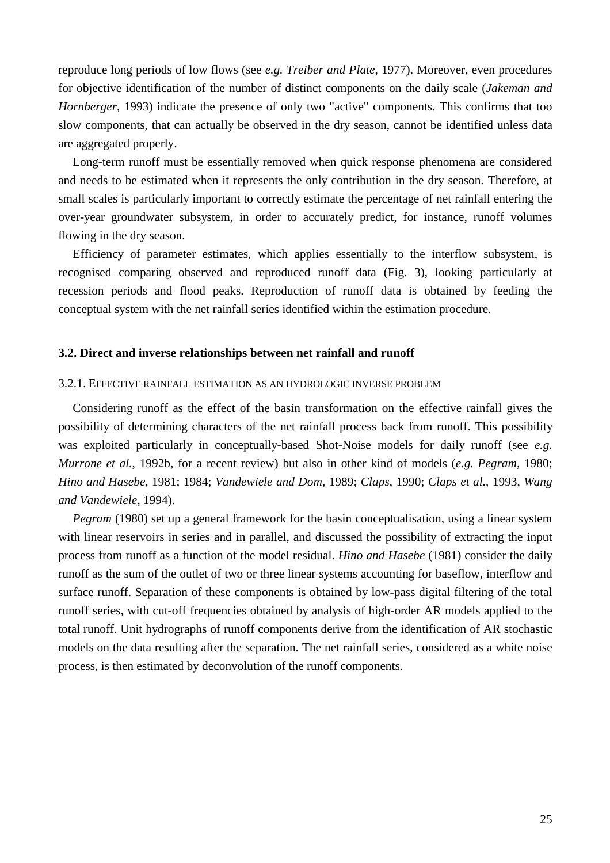reproduce long periods of low flows (see *e.g. Treiber and Plate*, 1977). Moreover, even procedures for objective identification of the number of distinct components on the daily scale (*Jakeman and Hornberger*, 1993) indicate the presence of only two "active" components. This confirms that too slow components, that can actually be observed in the dry season, cannot be identified unless data are aggregated properly.

Long-term runoff must be essentially removed when quick response phenomena are considered and needs to be estimated when it represents the only contribution in the dry season. Therefore, at small scales is particularly important to correctly estimate the percentage of net rainfall entering the over-year groundwater subsystem, in order to accurately predict, for instance, runoff volumes flowing in the dry season.

Efficiency of parameter estimates, which applies essentially to the interflow subsystem, is recognised comparing observed and reproduced runoff data (Fig. 3), looking particularly at recession periods and flood peaks. Reproduction of runoff data is obtained by feeding the conceptual system with the net rainfall series identified within the estimation procedure.

## **3.2. Direct and inverse relationships between net rainfall and runoff**

## 3.2.1. EFFECTIVE RAINFALL ESTIMATION AS AN HYDROLOGIC INVERSE PROBLEM

Considering runoff as the effect of the basin transformation on the effective rainfall gives the possibility of determining characters of the net rainfall process back from runoff. This possibility was exploited particularly in conceptually-based Shot-Noise models for daily runoff (see *e.g. Murrone et al.*, 1992b, for a recent review) but also in other kind of models (*e.g. Pegram,* 1980; *Hino and Hasebe*, 1981; 1984; *Vandewiele and Dom*, 1989; *Claps*, 1990; *Claps et al.*, 1993, *Wang and Vandewiele*, 1994).

*Pegram* (1980) set up a general framework for the basin conceptualisation, using a linear system with linear reservoirs in series and in parallel, and discussed the possibility of extracting the input process from runoff as a function of the model residual. *Hino and Hasebe* (1981) consider the daily runoff as the sum of the outlet of two or three linear systems accounting for baseflow, interflow and surface runoff. Separation of these components is obtained by low-pass digital filtering of the total runoff series, with cut-off frequencies obtained by analysis of high-order AR models applied to the total runoff. Unit hydrographs of runoff components derive from the identification of AR stochastic models on the data resulting after the separation. The net rainfall series, considered as a white noise process, is then estimated by deconvolution of the runoff components.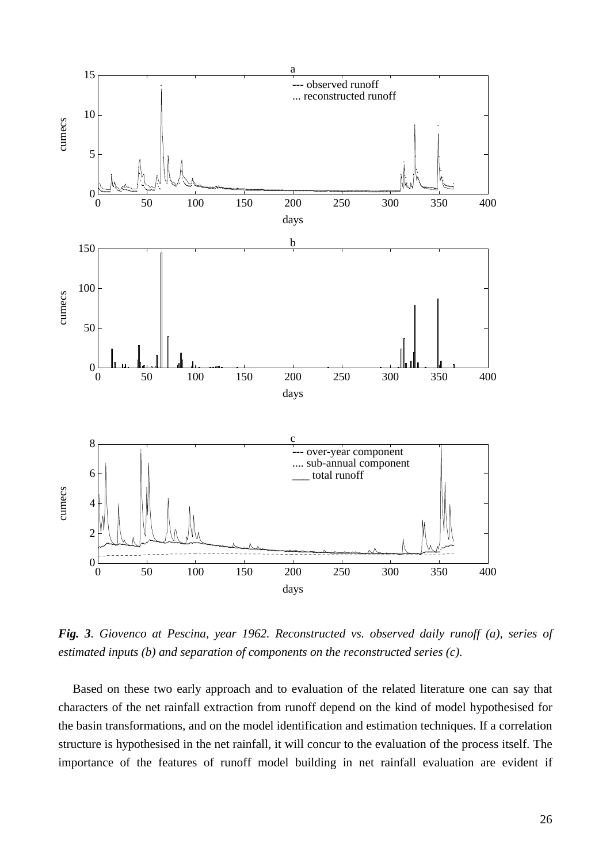

*Fig. 3. Giovenco at Pescina, year 1962. Reconstructed vs. observed daily runoff (a), series of estimated inputs (b) and separation of components on the reconstructed series (c).*

Based on these two early approach and to evaluation of the related literature one can say that characters of the net rainfall extraction from runoff depend on the kind of model hypothesised for the basin transformations, and on the model identification and estimation techniques. If a correlation structure is hypothesised in the net rainfall, it will concur to the evaluation of the process itself. The importance of the features of runoff model building in net rainfall evaluation are evident if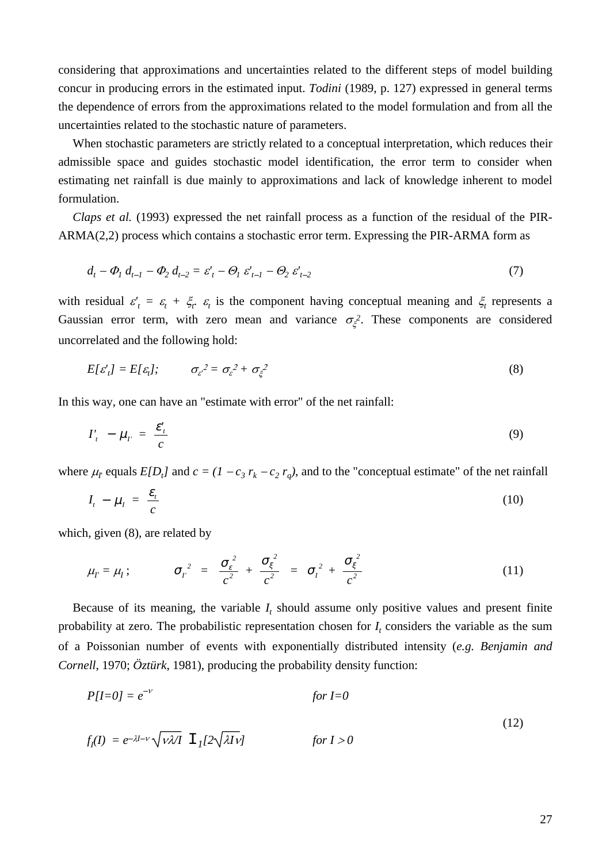considering that approximations and uncertainties related to the different steps of model building concur in producing errors in the estimated input. *Todini* (1989, p. 127) expressed in general terms the dependence of errors from the approximations related to the model formulation and from all the uncertainties related to the stochastic nature of parameters.

When stochastic parameters are strictly related to a conceptual interpretation, which reduces their admissible space and guides stochastic model identification, the error term to consider when estimating net rainfall is due mainly to approximations and lack of knowledge inherent to model formulation.

*Claps et al.* (1993) expressed the net rainfall process as a function of the residual of the PIR-ARMA(2,2) process which contains a stochastic error term. Expressing the PIR-ARMA form as

$$
d_{t} - \Phi_{1} d_{t-1} - \Phi_{2} d_{t-2} = \varepsilon'_{t} - \Theta_{1} \varepsilon'_{t-1} - \Theta_{2} \varepsilon'_{t-2}
$$
\n(7)

with residual  $\varepsilon'$  =  $\varepsilon$  +  $\xi$  +  $\xi$  is the component having conceptual meaning and  $\xi$  represents a Gaussian error term, with zero mean and variance  $\sigma_{\xi}^2$ . These components are considered uncorrelated and the following hold:

$$
E[\varepsilon'_{t}] = E[\varepsilon_{t}]; \qquad \sigma_{\varepsilon}^{2} = \sigma_{\varepsilon}^{2} + \sigma_{\xi}^{2}
$$
 (8)

In this way, one can have an "estimate with error" of the net rainfall:

$$
I'_t - \mu_{t'} = \frac{\varepsilon'_t}{c} \tag{9}
$$

where  $\mu_r$  equals  $E[D_t]$  and  $c = (1 - c_3 r_k - c_2 r_q)$ , and to the "conceptual estimate" of the net rainfall

$$
I_t - \mu_I = \frac{\varepsilon_t}{c} \tag{10}
$$

which, given (8), are related by

$$
\mu_{I'} = \mu_I; \qquad \sigma_{I'}^2 = \frac{\sigma_{\varepsilon}^2}{c^2} + \frac{\sigma_{\xi}^2}{c^2} = \sigma_{I}^2 + \frac{\sigma_{\xi}^2}{c^2}
$$
 (11)

Because of its meaning, the variable  $I_t$  should assume only positive values and present finite probability at zero. The probabilistic representation chosen for  $I_t$  considers the variable as the sum of a Poissonian number of events with exponentially distributed intensity (*e.g. Benjamin and Cornell*, 1970; *Öztürk*, 1981), producing the probability density function:

$$
P[I=0] = e^{-\nu} \qquad \qquad \text{for } I=0
$$
\n
$$
f_I(I) = e^{-\lambda I - \nu} \sqrt{\nu \lambda I} \quad \mathbb{I}_I[2\sqrt{\lambda I \nu}] \qquad \qquad \text{for } I > 0
$$
\n
$$
(12)
$$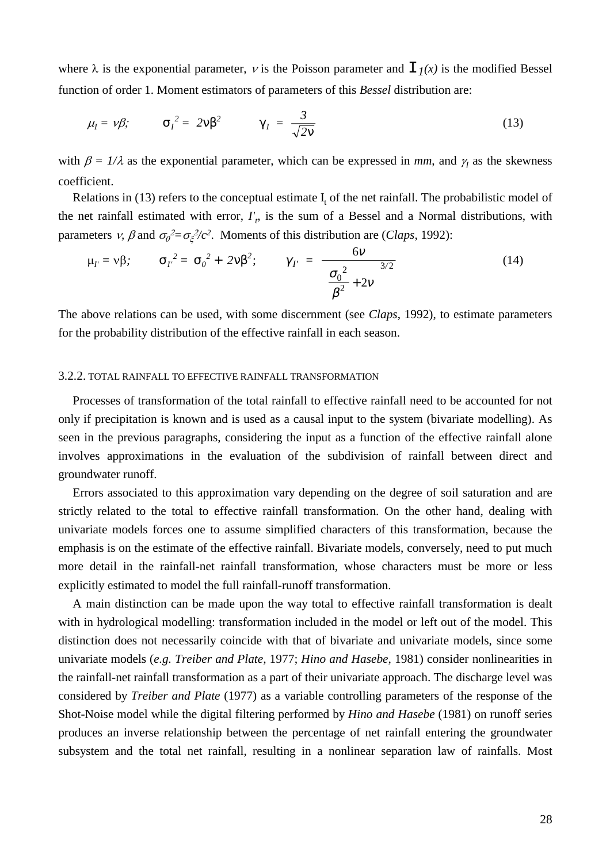where  $\lambda$  is the exponential parameter,  $\nu$  is the Poisson parameter and  $\Gamma_I(x)$  is the modified Bessel function of order 1. Moment estimators of parameters of this *Bessel* distribution are:

$$
\mu_I = \nu \beta; \qquad \sigma_I^2 = 2\nu \beta^2 \qquad \gamma_I = \frac{3}{\sqrt{2\nu}} \tag{13}
$$

with  $\beta = 1/\lambda$  as the exponential parameter, which can be expressed in *mm*, and  $\gamma<sub>I</sub>$  as the skewness coefficient.

Relations in (13) refers to the conceptual estimate  $I_t$  of the net rainfall. The probabilistic model of the net rainfall estimated with error,  $I'_t$ , is the sum of a Bessel and a Normal distributions, with parameters *v*,  $\beta$  and  $\sigma_0^2 = \sigma_\xi^2/c^2$ . Moments of this distribution are (*Claps*, 1992):

$$
\mu_{I'} = v\beta; \qquad \sigma_{I'}^2 = \sigma_o^2 + 2v\beta^2; \qquad \gamma_{I'} = \frac{6v}{\left(\frac{\sigma_o^2}{\beta^2} + 2v\right)^{3/2}}
$$
(14)

The above relations can be used, with some discernment (see *Claps*, 1992), to estimate parameters for the probability distribution of the effective rainfall in each season.

# 3.2.2. TOTAL RAINFALL TO EFFECTIVE RAINFALL TRANSFORMATION

Processes of transformation of the total rainfall to effective rainfall need to be accounted for not only if precipitation is known and is used as a causal input to the system (bivariate modelling). As seen in the previous paragraphs, considering the input as a function of the effective rainfall alone involves approximations in the evaluation of the subdivision of rainfall between direct and groundwater runoff.

Errors associated to this approximation vary depending on the degree of soil saturation and are strictly related to the total to effective rainfall transformation. On the other hand, dealing with univariate models forces one to assume simplified characters of this transformation, because the emphasis is on the estimate of the effective rainfall. Bivariate models, conversely, need to put much more detail in the rainfall-net rainfall transformation, whose characters must be more or less explicitly estimated to model the full rainfall-runoff transformation.

A main distinction can be made upon the way total to effective rainfall transformation is dealt with in hydrological modelling: transformation included in the model or left out of the model. This distinction does not necessarily coincide with that of bivariate and univariate models, since some univariate models (*e.g. Treiber and Plate,* 1977; *Hino and Hasebe*, 1981) consider nonlinearities in the rainfall-net rainfall transformation as a part of their univariate approach. The discharge level was considered by *Treiber and Plate* (1977) as a variable controlling parameters of the response of the Shot-Noise model while the digital filtering performed by *Hino and Hasebe* (1981) on runoff series produces an inverse relationship between the percentage of net rainfall entering the groundwater subsystem and the total net rainfall, resulting in a nonlinear separation law of rainfalls. Most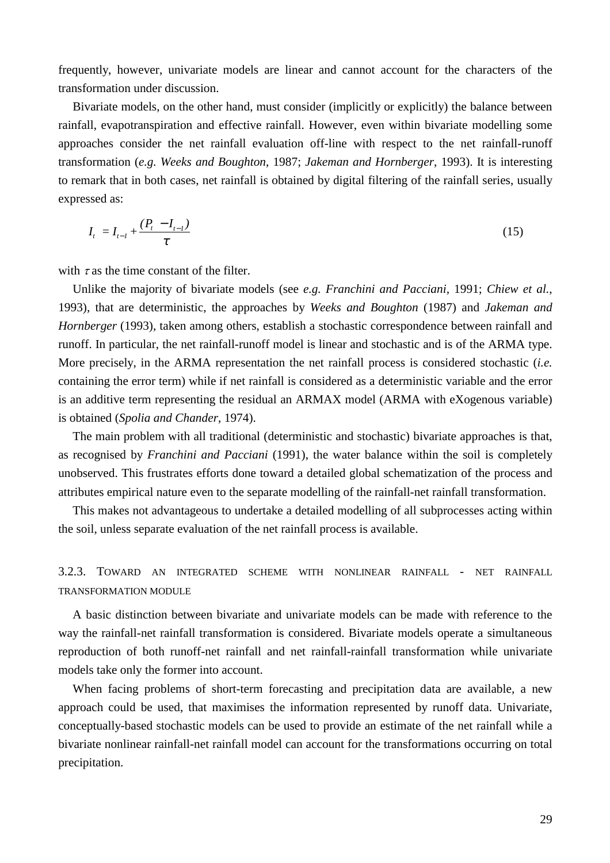frequently, however, univariate models are linear and cannot account for the characters of the transformation under discussion.

Bivariate models, on the other hand, must consider (implicitly or explicitly) the balance between rainfall, evapotranspiration and effective rainfall. However, even within bivariate modelling some approaches consider the net rainfall evaluation off-line with respect to the net rainfall-runoff transformation (*e.g. Weeks and Boughton*, 1987; *Jakeman and Hornberger*, 1993). It is interesting to remark that in both cases, net rainfall is obtained by digital filtering of the rainfall series, usually expressed as:

$$
I_{t} = I_{t-1} + \frac{(P_{t} - I_{t-1})}{\tau}
$$
\n(15)

with  $\tau$  as the time constant of the filter.

Unlike the majority of bivariate models (see *e.g. Franchini and Pacciani,* 1991; *Chiew et al.*, 1993), that are deterministic, the approaches by *Weeks and Boughton* (1987) and *Jakeman and Hornberger* (1993), taken among others, establish a stochastic correspondence between rainfall and runoff. In particular, the net rainfall-runoff model is linear and stochastic and is of the ARMA type. More precisely, in the ARMA representation the net rainfall process is considered stochastic (*i.e.* containing the error term) while if net rainfall is considered as a deterministic variable and the error is an additive term representing the residual an ARMAX model (ARMA with eXogenous variable) is obtained (*Spolia and Chander*, 1974).

The main problem with all traditional (deterministic and stochastic) bivariate approaches is that, as recognised by *Franchini and Pacciani* (1991), the water balance within the soil is completely unobserved. This frustrates efforts done toward a detailed global schematization of the process and attributes empirical nature even to the separate modelling of the rainfall-net rainfall transformation.

This makes not advantageous to undertake a detailed modelling of all subprocesses acting within the soil, unless separate evaluation of the net rainfall process is available.

# 3.2.3. TOWARD AN INTEGRATED SCHEME WITH NONLINEAR RAINFALL - NET RAINFALL TRANSFORMATION MODULE

A basic distinction between bivariate and univariate models can be made with reference to the way the rainfall-net rainfall transformation is considered. Bivariate models operate a simultaneous reproduction of both runoff-net rainfall and net rainfall-rainfall transformation while univariate models take only the former into account.

When facing problems of short-term forecasting and precipitation data are available, a new approach could be used, that maximises the information represented by runoff data. Univariate, conceptually-based stochastic models can be used to provide an estimate of the net rainfall while a bivariate nonlinear rainfall-net rainfall model can account for the transformations occurring on total precipitation.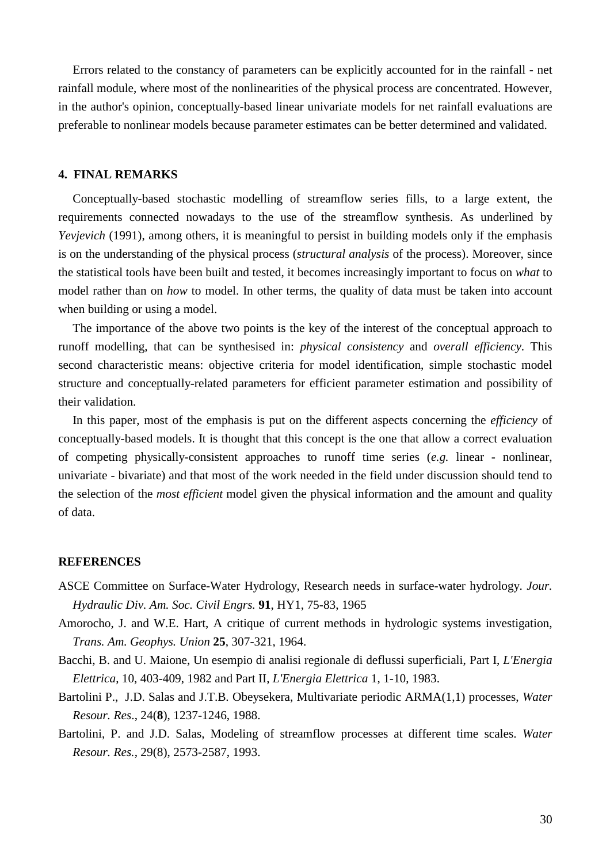Errors related to the constancy of parameters can be explicitly accounted for in the rainfall - net rainfall module, where most of the nonlinearities of the physical process are concentrated. However, in the author's opinion, conceptually-based linear univariate models for net rainfall evaluations are preferable to nonlinear models because parameter estimates can be better determined and validated.

#### **4. FINAL REMARKS**

Conceptually-based stochastic modelling of streamflow series fills, to a large extent, the requirements connected nowadays to the use of the streamflow synthesis. As underlined by *Yevjevich* (1991), among others, it is meaningful to persist in building models only if the emphasis is on the understanding of the physical process (*structural analysis* of the process). Moreover, since the statistical tools have been built and tested, it becomes increasingly important to focus on *what* to model rather than on *how* to model. In other terms, the quality of data must be taken into account when building or using a model.

The importance of the above two points is the key of the interest of the conceptual approach to runoff modelling, that can be synthesised in: *physical consistency* and *overall efficiency*. This second characteristic means: objective criteria for model identification, simple stochastic model structure and conceptually-related parameters for efficient parameter estimation and possibility of their validation.

In this paper, most of the emphasis is put on the different aspects concerning the *efficiency* of conceptually-based models. It is thought that this concept is the one that allow a correct evaluation of competing physically-consistent approaches to runoff time series (*e.g.* linear - nonlinear, univariate - bivariate) and that most of the work needed in the field under discussion should tend to the selection of the *most efficient* model given the physical information and the amount and quality of data.

#### **REFERENCES**

- ASCE Committee on Surface-Water Hydrology, Research needs in surface-water hydrology. *Jour. Hydraulic Div. Am. Soc. Civil Engrs.* **91**, HY1, 75-83, 1965
- Amorocho, J. and W.E. Hart, A critique of current methods in hydrologic systems investigation, *Trans. Am. Geophys. Union* **25**, 307-321, 1964.
- Bacchi, B. and U. Maione, Un esempio di analisi regionale di deflussi superficiali, Part I, *L'Energia Elettrica*, 10, 403-409, 1982 and Part II, *L'Energia Elettrica* 1, 1-10, 1983.
- Bartolini P., J.D. Salas and J.T.B. Obeysekera, Multivariate periodic ARMA(1,1) processes, *Water Resour. Res*., 24(**8**), 1237-1246, 1988.
- Bartolini, P. and J.D. Salas, Modeling of streamflow processes at different time scales. *Water Resour. Res.*, 29(8), 2573-2587, 1993.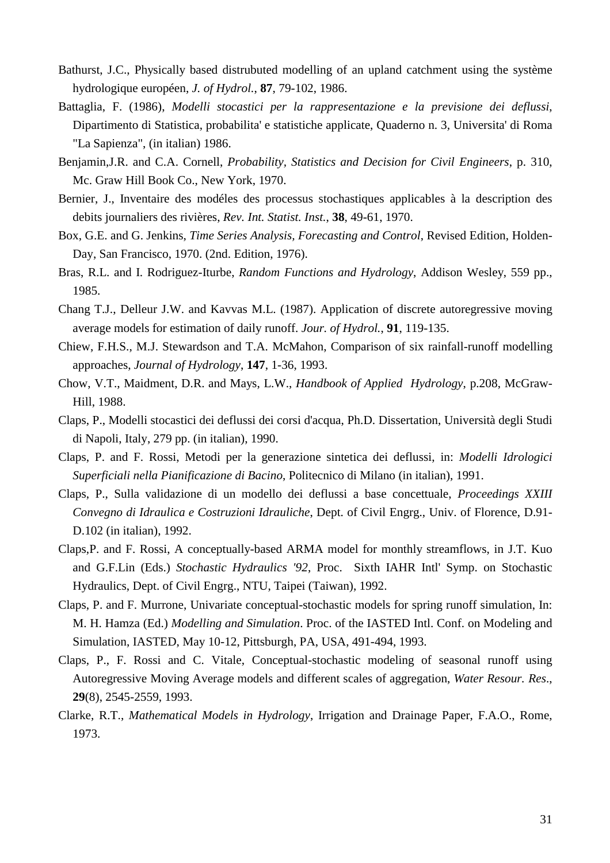- Bathurst, J.C., Physically based distrubuted modelling of an upland catchment using the système hydrologique européen, *J. of Hydrol.*, **87**, 79-102, 1986.
- Battaglia, F. (1986), *Modelli stocastici per la rappresentazione e la previsione dei deflussi*, Dipartimento di Statistica, probabilita' e statistiche applicate, Quaderno n. 3*,* Universita' di Roma "La Sapienza", (in italian) 1986.
- Benjamin,J.R. and C.A. Cornell, *Probability, Statistics and Decision for Civil Engineers*, p. 310, Mc. Graw Hill Book Co., New York, 1970.
- Bernier, J., Inventaire des modéles des processus stochastiques applicables à la description des debits journaliers des rivières, *Rev. Int. Statist. Inst.*, **38**, 49-61, 1970.
- Box, G.E. and G. Jenkins, *Time Series Analysis, Forecasting and Control*, Revised Edition, Holden-Day, San Francisco, 1970. (2nd. Edition, 1976).
- Bras, R.L. and I. Rodriguez-Iturbe, *Random Functions and Hydrology*, Addison Wesley, 559 pp., 1985.
- Chang T.J., Delleur J.W. and Kavvas M.L. (1987). Application of discrete autoregressive moving average models for estimation of daily runoff. *Jour. of Hydrol.*, **91**, 119-135.
- Chiew, F.H.S., M.J. Stewardson and T.A. McMahon, Comparison of six rainfall-runoff modelling approaches, *Journal of Hydrology*, **147**, 1-36, 1993.
- Chow, V.T., Maidment, D.R. and Mays, L.W., *Handbook of Applied Hydrology*, p.208, McGraw-Hill, 1988.
- Claps, P., Modelli stocastici dei deflussi dei corsi d'acqua, Ph.D. Dissertation, Università degli Studi di Napoli, Italy, 279 pp. (in italian), 1990.
- Claps, P. and F. Rossi, Metodi per la generazione sintetica dei deflussi, in: *Modelli Idrologici Superficiali nella Pianificazione di Bacino*, Politecnico di Milano (in italian), 1991.
- Claps, P., Sulla validazione di un modello dei deflussi a base concettuale, *Proceedings XXIII Convegno di Idraulica e Costruzioni Idrauliche*, Dept. of Civil Engrg., Univ. of Florence, D.91- D.102 (in italian), 1992.
- Claps,P. and F. Rossi, A conceptually-based ARMA model for monthly streamflows, in J.T. Kuo and G.F.Lin (Eds.) *Stochastic Hydraulics '92*, Proc. Sixth IAHR Intl' Symp. on Stochastic Hydraulics, Dept. of Civil Engrg., NTU, Taipei (Taiwan), 1992.
- Claps, P. and F. Murrone, Univariate conceptual-stochastic models for spring runoff simulation, In: M. H. Hamza (Ed.) *Modelling and Simulation*. Proc. of the IASTED Intl. Conf. on Modeling and Simulation, IASTED, May 10-12, Pittsburgh, PA, USA, 491-494, 1993.
- Claps, P., F. Rossi and C. Vitale, Conceptual-stochastic modeling of seasonal runoff using Autoregressive Moving Average models and different scales of aggregation, *Water Resour. Res*., **29**(8), 2545-2559, 1993.
- Clarke, R.T., *Mathematical Models in Hydrology*, Irrigation and Drainage Paper, F.A.O., Rome, 1973.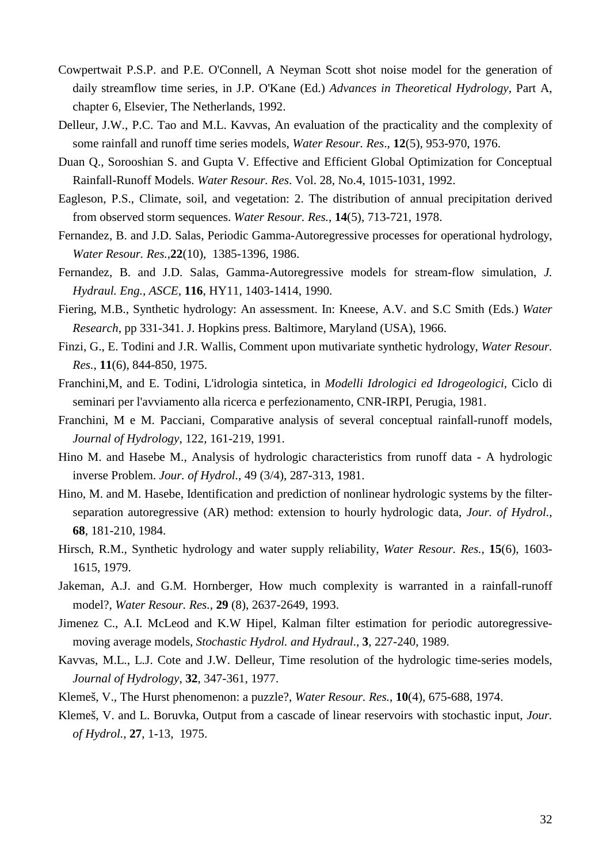- Cowpertwait P.S.P. and P.E. O'Connell, A Neyman Scott shot noise model for the generation of daily streamflow time series, in J.P. O'Kane (Ed.) *Advances in Theoretical Hydrology*, Part A, chapter 6, Elsevier, The Netherlands, 1992.
- Delleur, J.W., P.C. Tao and M.L. Kavvas, An evaluation of the practicality and the complexity of some rainfall and runoff time series models, *Water Resour. Res*., **12**(5), 953-970, 1976.
- Duan Q., Sorooshian S. and Gupta V. Effective and Efficient Global Optimization for Conceptual Rainfall-Runoff Models. *Water Resour. Res*. Vol. 28, No.4, 1015-1031, 1992.
- Eagleson, P.S., Climate, soil, and vegetation: 2. The distribution of annual precipitation derived from observed storm sequences. *Water Resour. Res.*, **14**(5), 713-721, 1978.
- Fernandez, B. and J.D. Salas, Periodic Gamma-Autoregressive processes for operational hydrology, *Water Resour. Res.*,**22**(10), 1385-1396, 1986.
- Fernandez, B. and J.D. Salas, Gamma-Autoregressive models for stream-flow simulation, *J. Hydraul. Eng., ASCE*, **116**, HY11, 1403-1414, 1990.
- Fiering, M.B., Synthetic hydrology: An assessment. In: Kneese, A.V. and S.C Smith (Eds.) *Water Research*, pp 331-341. J. Hopkins press. Baltimore, Maryland (USA), 1966.
- Finzi, G., E. Todini and J.R. Wallis, Comment upon mutivariate synthetic hydrology, *Water Resour. Res.*, **11**(6), 844-850, 1975.
- Franchini,M, and E. Todini, L'idrologia sintetica, in *Modelli Idrologici ed Idrogeologici*, Ciclo di seminari per l'avviamento alla ricerca e perfezionamento, CNR-IRPI, Perugia, 1981.
- Franchini, M e M. Pacciani, Comparative analysis of several conceptual rainfall-runoff models, *Journal of Hydrology*, 122, 161-219, 1991.
- Hino M. and Hasebe M., Analysis of hydrologic characteristics from runoff data A hydrologic inverse Problem. *Jour. of Hydrol.*, 49 (3/4), 287-313, 1981.
- Hino, M. and M. Hasebe, Identification and prediction of nonlinear hydrologic systems by the filterseparation autoregressive (AR) method: extension to hourly hydrologic data, *Jour. of Hydrol.*, **68**, 181-210, 1984.
- Hirsch, R.M., Synthetic hydrology and water supply reliability, *Water Resour. Res.*, **15**(6), 1603- 1615, 1979.
- Jakeman, A.J. and G.M. Hornberger, How much complexity is warranted in a rainfall-runoff model?, *Water Resour. Res.*, **29** (8), 2637-2649, 1993.
- Jimenez C., A.I. McLeod and K.W Hipel, Kalman filter estimation for periodic autoregressivemoving average models, *Stochastic Hydrol. and Hydraul*., **3**, 227-240, 1989.
- Kavvas, M.L., L.J. Cote and J.W. Delleur, Time resolution of the hydrologic time-series models, *Journal of Hydrology*, **32**, 347-361, 1977.
- Klemeš, V., The Hurst phenomenon: a puzzle?, *Water Resour. Res.*, **10**(4), 675-688, 1974.
- Klemeš, V. and L. Boruvka, Output from a cascade of linear reservoirs with stochastic input, *Jour. of Hydrol.*, **27**, 1-13, 1975.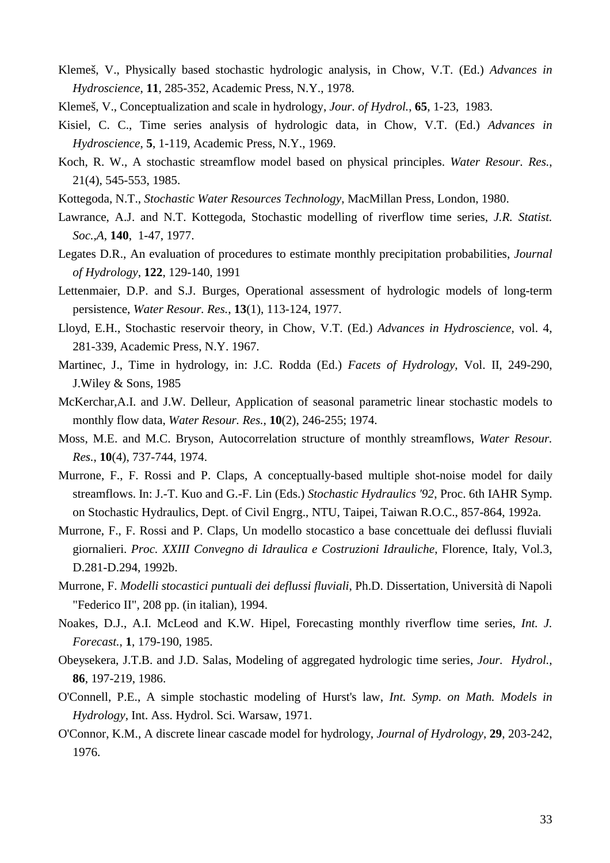- Klemeš, V., Physically based stochastic hydrologic analysis, in Chow, V.T. (Ed.) *Advances in Hydroscience*, **11**, 285-352, Academic Press, N.Y., 1978.
- Klemeš, V., Conceptualization and scale in hydrology, *Jour. of Hydrol.*, **65**, 1-23, 1983.
- Kisiel, C. C., Time series analysis of hydrologic data, in Chow, V.T. (Ed.) *Advances in Hydroscience*, **5**, 1-119, Academic Press, N.Y., 1969.
- Koch, R. W., A stochastic streamflow model based on physical principles. *Water Resour. Res.*, 21(4), 545-553, 1985.
- Kottegoda, N.T., *Stochastic Water Resources Technology*, MacMillan Press, London, 1980.
- Lawrance, A.J. and N.T. Kottegoda, Stochastic modelling of riverflow time series, *J.R. Statist. Soc.,A*, **140**, 1-47, 1977.
- Legates D.R., An evaluation of procedures to estimate monthly precipitation probabilities, *Journal of Hydrology*, **122**, 129-140, 1991
- Lettenmaier, D.P. and S.J. Burges, Operational assessment of hydrologic models of long-term persistence, *Water Resour. Res.*, **13**(1), 113-124, 1977.
- Lloyd, E.H., Stochastic reservoir theory, in Chow, V.T. (Ed.) *Advances in Hydroscience*, vol. 4, 281-339, Academic Press, N.Y. 1967.
- Martinec, J., Time in hydrology, in: J.C. Rodda (Ed.) *Facets of Hydrology*, Vol. II, 249-290, J.Wiley & Sons, 1985
- McKerchar,A.I. and J.W. Delleur, Application of seasonal parametric linear stochastic models to monthly flow data, *Water Resour. Res.*, **10**(2), 246-255; 1974.
- Moss, M.E. and M.C. Bryson, Autocorrelation structure of monthly streamflows, *Water Resour. Res.*, **10**(4), 737-744, 1974.
- Murrone, F., F. Rossi and P. Claps, A conceptually-based multiple shot-noise model for daily streamflows. In: J.-T. Kuo and G.-F. Lin (Eds.) *Stochastic Hydraulics '92*, Proc. 6th IAHR Symp. on Stochastic Hydraulics, Dept. of Civil Engrg., NTU, Taipei, Taiwan R.O.C., 857-864, 1992a.
- Murrone, F., F. Rossi and P. Claps, Un modello stocastico a base concettuale dei deflussi fluviali giornalieri. *Proc. XXIII Convegno di Idraulica e Costruzioni Idrauliche*, Florence, Italy, Vol.3, D.281-D.294, 1992b.
- Murrone, F. *Modelli stocastici puntuali dei deflussi fluviali*, Ph.D. Dissertation, Università di Napoli "Federico II", 208 pp. (in italian), 1994.
- Noakes, D.J., A.I. McLeod and K.W. Hipel, Forecasting monthly riverflow time series, *Int. J. Forecast.*, **1**, 179-190, 1985.
- Obeysekera, J.T.B. and J.D. Salas, Modeling of aggregated hydrologic time series, *Jour. Hydrol.*, **86**, 197-219, 1986.
- O'Connell, P.E., A simple stochastic modeling of Hurst's law, *Int. Symp. on Math. Models in Hydrology*, Int. Ass. Hydrol. Sci. Warsaw, 1971.
- O'Connor, K.M., A discrete linear cascade model for hydrology, *Journal of Hydrology*, **29**, 203-242, 1976.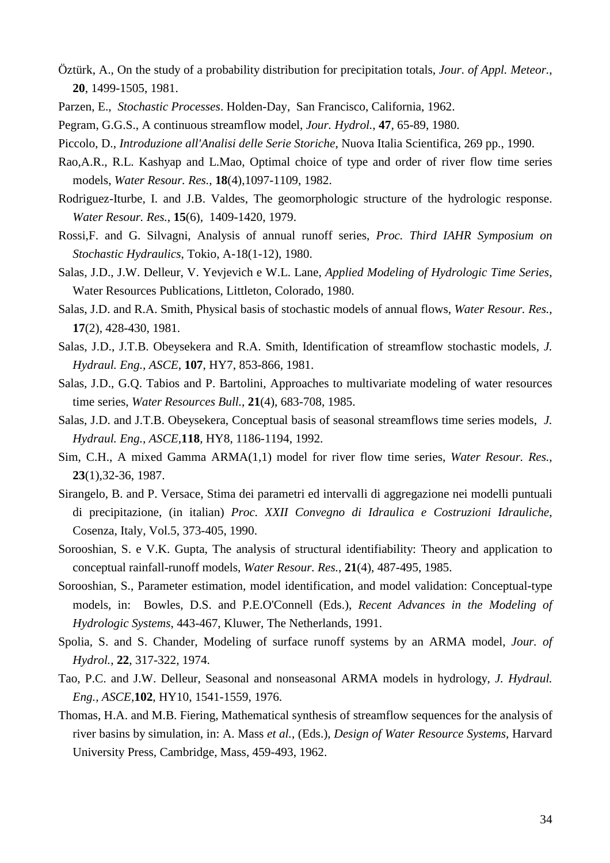- Öztürk, A., On the study of a probability distribution for precipitation totals, *Jour. of Appl. Meteor.*, **20**, 1499-1505, 1981.
- Parzen, E., *Stochastic Processes*. Holden-Day, San Francisco, California, 1962.
- Pegram, G.G.S., A continuous streamflow model, *Jour. Hydrol.*, **47**, 65-89, 1980.
- Piccolo, D., *Introduzione all'Analisi delle Serie Storiche*, Nuova Italia Scientifica, 269 pp., 1990.
- Rao,A.R., R.L. Kashyap and L.Mao, Optimal choice of type and order of river flow time series models, *Water Resour. Res.*, **18**(4),1097-1109, 1982.
- Rodriguez-Iturbe, I. and J.B. Valdes, The geomorphologic structure of the hydrologic response. *Water Resour. Res.*, **15**(6), 1409-1420, 1979.
- Rossi,F. and G. Silvagni, Analysis of annual runoff series, *Proc. Third IAHR Symposium on Stochastic Hydraulics*, Tokio, A-18(1-12), 1980.
- Salas, J.D., J.W. Delleur, V. Yevjevich e W.L. Lane, *Applied Modeling of Hydrologic Time Series*, Water Resources Publications, Littleton, Colorado, 1980.
- Salas, J.D. and R.A. Smith, Physical basis of stochastic models of annual flows, *Water Resour. Res.*, **17**(2), 428-430, 1981.
- Salas, J.D., J.T.B. Obeysekera and R.A. Smith, Identification of streamflow stochastic models, *J. Hydraul. Eng., ASCE*, **107**, HY7, 853-866, 1981.
- Salas, J.D., G.Q. Tabios and P. Bartolini, Approaches to multivariate modeling of water resources time series, *Water Resources Bull.*, **21**(4), 683-708, 1985.
- Salas, J.D. and J.T.B. Obeysekera, Conceptual basis of seasonal streamflows time series models, *J. Hydraul. Eng., ASCE*,**118**, HY8, 1186-1194, 1992.
- Sim, C.H., A mixed Gamma ARMA(1,1) model for river flow time series, *Water Resour. Res.*, **23**(1),32-36, 1987.
- Sirangelo, B. and P. Versace, Stima dei parametri ed intervalli di aggregazione nei modelli puntuali di precipitazione, (in italian) *Proc. XXII Convegno di Idraulica e Costruzioni Idrauliche*, Cosenza, Italy, Vol.5, 373-405, 1990.
- Sorooshian, S. e V.K. Gupta, The analysis of structural identifiability: Theory and application to conceptual rainfall-runoff models, *Water Resour. Res.*, **21**(4), 487-495, 1985.
- Sorooshian, S., Parameter estimation, model identification, and model validation: Conceptual-type models, in: Bowles, D.S. and P.E.O'Connell (Eds.), *Recent Advances in the Modeling of Hydrologic Systems*, 443-467, Kluwer, The Netherlands, 1991.
- Spolia, S. and S. Chander, Modeling of surface runoff systems by an ARMA model, *Jour. of Hydrol.*, **22**, 317-322, 1974.
- Tao, P.C. and J.W. Delleur, Seasonal and nonseasonal ARMA models in hydrology, *J. Hydraul. Eng., ASCE*,**102**, HY10, 1541-1559, 1976.
- Thomas, H.A. and M.B. Fiering, Mathematical synthesis of streamflow sequences for the analysis of river basins by simulation, in: A. Mass *et al.*, (Eds.), *Design of Water Resource Systems,* Harvard University Press, Cambridge, Mass, 459-493, 1962.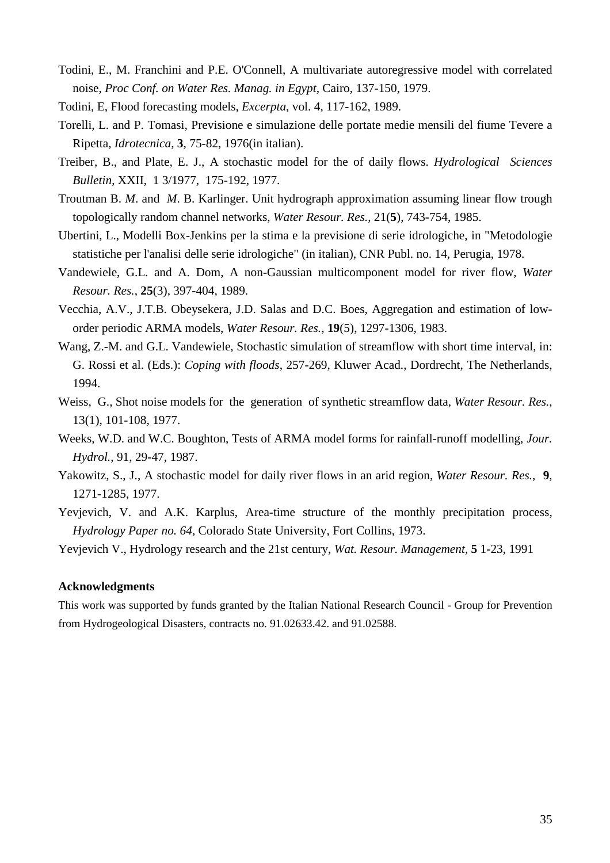- Todini, E., M. Franchini and P.E. O'Connell, A multivariate autoregressive model with correlated noise, *Proc Conf. on Water Res. Manag. in Egypt,* Cairo, 137-150, 1979.
- Todini, E, Flood forecasting models, *Excerpta*, vol. 4, 117-162, 1989.
- Torelli, L. and P. Tomasi, Previsione e simulazione delle portate medie mensili del fiume Tevere a Ripetta, *Idrotecnica*, **3**, 75-82, 1976(in italian).
- Treiber, B., and Plate, E. J., A stochastic model for the of daily flows. *Hydrological Sciences Bulletin*, XXII, 1 3/1977, 175-192, 1977.
- Troutman B. *M*. and *M*. B. Karlinger. Unit hydrograph approximation assuming linear flow trough topologically random channel networks, *Water Resour. Res.*, 21(**5**), 743-754, 1985.
- Ubertini, L., Modelli Box-Jenkins per la stima e la previsione di serie idrologiche, in "Metodologie statistiche per l'analisi delle serie idrologiche" (in italian), CNR Publ. no. 14, Perugia, 1978.
- Vandewiele, G.L. and A. Dom, A non-Gaussian multicomponent model for river flow, *Water Resour. Res.*, **25**(3), 397-404, 1989.
- Vecchia, A.V., J.T.B. Obeysekera, J.D. Salas and D.C. Boes, Aggregation and estimation of loworder periodic ARMA models, *Water Resour. Res.*, **19**(5), 1297-1306, 1983.
- Wang, Z.-M. and G.L. Vandewiele, Stochastic simulation of streamflow with short time interval, in: G. Rossi et al. (Eds.): *Coping with floods*, 257-269, Kluwer Acad., Dordrecht, The Netherlands, 1994.
- Weiss, G., Shot noise models for the generation of synthetic streamflow data, *Water Resour. Res.*, 13(1), 101-108, 1977.
- Weeks, W.D. and W.C. Boughton, Tests of ARMA model forms for rainfall-runoff modelling, *Jour. Hydrol.*, 91, 29-47, 1987.
- Yakowitz, S., J., A stochastic model for daily river flows in an arid region, *Water Resour. Res.*, **9**, 1271-1285, 1977.
- Yevjevich, V. and A.K. Karplus, Area-time structure of the monthly precipitation process, *Hydrology Paper no. 64*, Colorado State University, Fort Collins, 1973.

Yevjevich V., Hydrology research and the 21st century, *Wat. Resour. Management,* **5** 1-23, 1991

#### **Acknowledgments**

This work was supported by funds granted by the Italian National Research Council - Group for Prevention from Hydrogeological Disasters, contracts no. 91.02633.42. and 91.02588.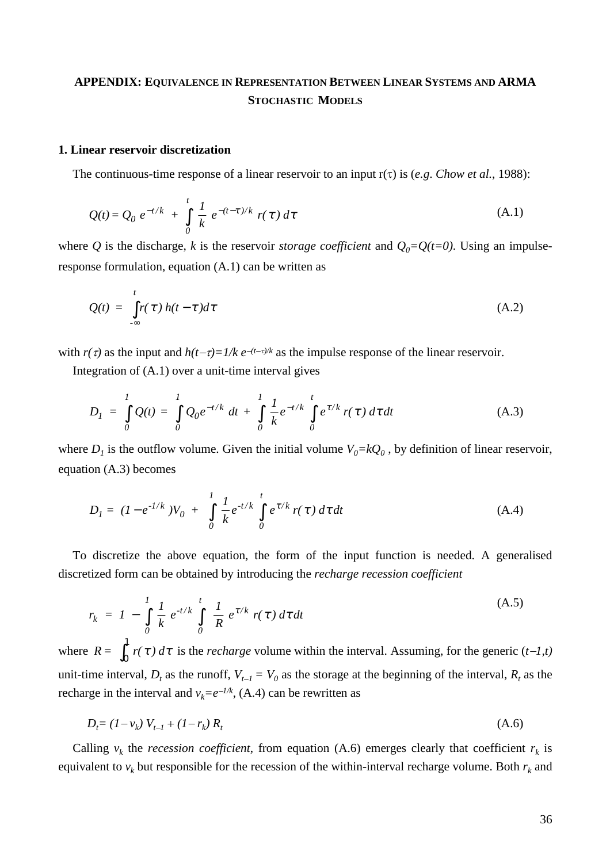# **APPENDIX: EQUIVALENCE IN REPRESENTATION BETWEEN LINEAR SYSTEMS AND ARMA STOCHASTIC MODELS**

# **1. Linear reservoir discretization**

The continuous-time response of a linear reservoir to an input  $r(\tau)$  is (*e.g. Chow et al.*, 1988):

$$
Q(t) = Q_0 e^{-t/k} + \int_0^t \frac{1}{k} e^{-(t-\tau)/k} r(\tau) d\tau
$$
 (A.1)

where *Q* is the discharge, *k* is the reservoir *storage coefficient* and  $Q_0 = Q(t=0)$ . Using an impulseresponse formulation, equation (A.1) can be written as

$$
Q(t) = \int_{-\infty}^{t} r(\tau) h(t - \tau) d\tau
$$
 (A.2)

with  $r(\tau)$  as the input and  $h(t-\tau)=1/k e^{-(t-\tau)/k}$  as the impulse response of the linear reservoir.

Integration of (A.1) over a unit-time interval gives

$$
D_{I} = \int_{0}^{I} Q(t) = \int_{0}^{I} Q_{0} e^{-t/k} dt + \int_{0}^{I} \frac{1}{k} e^{-t/k} \int_{0}^{t} e^{\tau/k} r(\tau) d\tau dt
$$
 (A.3)

where  $D_1$  is the outflow volume. Given the initial volume  $V_0 = kQ_0$ , by definition of linear reservoir, equation (A.3) becomes

$$
D_{I} = (I - e^{-1/k})V_0 + \int_{0}^{I} \frac{1}{k} e^{-t/k} \int_{0}^{t} e^{\tau/k} r(\tau) d\tau dt
$$
 (A.4)

To discretize the above equation, the form of the input function is needed. A generalised discretized form can be obtained by introducing the *recharge recession coefficient*

$$
r_k = I - \int_0^1 \frac{1}{k} e^{-t/k} \int_0^t \frac{1}{R} e^{\tau/k} r(\tau) d\tau dt
$$
 (A.5)

where  $R = \int_0^{\infty} r(\tau) d\tau$  $\int_0^1 r(\tau) d\tau$  is the *recharge* volume within the interval. Assuming, for the generic  $(t-1,t)$ unit-time interval,  $D_t$  as the runoff,  $V_{t-1} = V_0$  as the storage at the beginning of the interval,  $R_t$  as the recharge in the interval and  $v_k = e^{-1/k}$ , (A.4) can be rewritten as

$$
D_t = (1 - v_k) V_{t-1} + (1 - r_k) R_t
$$
\n(A.6)

Calling  $v_k$  the *recession coefficient*, from equation (A.6) emerges clearly that coefficient  $r_k$  is equivalent to  $v_k$  but responsible for the recession of the within-interval recharge volume. Both  $r_k$  and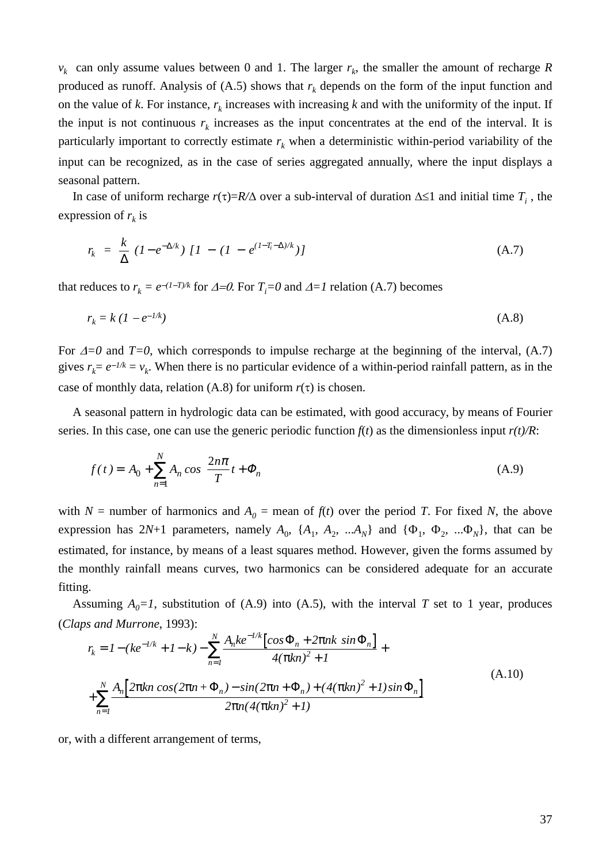$v_k$  can only assume values between 0 and 1. The larger  $r_k$ , the smaller the amount of recharge *R* produced as runoff. Analysis of  $(A.5)$  shows that  $r_k$  depends on the form of the input function and on the value of *k*. For instance,  $r_k$  increases with increasing *k* and with the uniformity of the input. If the input is not continuous  $r_k$  increases as the input concentrates at the end of the interval. It is particularly important to correctly estimate  $r_k$  when a deterministic within-period variability of the input can be recognized, as in the case of series aggregated annually, where the input displays a seasonal pattern.

In case of uniform recharge  $r(\tau)=R/\Delta$  over a sub-interval of duration  $\Delta \leq 1$  and initial time  $T_i$ , the expression of  $r_k$  is

$$
r_k = \frac{k}{\Delta} (1 - e^{-\Delta/k}) [1 - (1 - e^{(1 - T_i - \Delta)/k})]
$$
\n(A.7)

\nthat reduces to  $r_k = e^{-(1 - T)/k}$  for  $\Delta = 0$ . For  $T_i = 0$  and  $\Delta = 1$  relation (A.7) becomes

educes to 
$$
r_k = e^{-(1-T)/k}
$$
 for  $\Delta = 0$ . For  $T_i = 0$  and  $\Delta = 1$  relation (A.7) becomes  
\n $r_k = k (1 - e^{-1/k})$  (A.8)

For  $\Delta = 0$  and  $T=0$ , which corresponds to impulse recharge at the beginning of the interval, (A.7) gives  $r_k = e^{-1/k} = v_k$ . When there is no particular evidence of a within-period rainfall pattern, as in the case of monthly data, relation (A.8) for uniform  $r(\tau)$  is chosen.

A seasonal pattern in hydrologic data can be estimated, with good accuracy, by means of Fourier series. In this case, one can use the generic periodic function  $f(t)$  as the dimensionless input  $r(t)/R$ :

$$
f(t) = A_0 + \sum_{n=1}^{N} A_n \cos\left(\frac{2n\pi}{T}t + \Phi_n\right)
$$
\n(A.9)

with *N* = number of harmonics and  $A_0$  = mean of  $f(t)$  over the period *T*. For fixed *N*, the above expression has  $2N+1$  parameters, namely  $A_0$ ,  $\{A_1, A_2, ... A_N\}$  and  $\{\Phi_1, \Phi_2, ... \Phi_N\}$ , that can be estimated, for instance, by means of a least squares method. However, given the forms assumed by the monthly rainfall means curves, two harmonics can be considered adequate for an accurate fitting.

Assuming  $A_0=1$ , substitution of (A.9) into (A.5), with the interval *T* set to 1 year, produces (*Claps and Murrone*, 1993):

$$
r_{k} = 1 - (ke^{-1/k} + 1 - k) - \sum_{n=1}^{N} \frac{A_{n}ke^{-1/k} \left[ \cos \Phi_{n} + 2\pi n k \sin \Phi_{n} \right]}{4(\pi kn)^{2} + 1} +
$$
  
+ 
$$
\sum_{n=1}^{N} \frac{A_{n} \left[ 2\pi kn \cos(2\pi n + \Phi_{n}) - \sin(2\pi n + \Phi_{n}) + (4(\pi kn)^{2} + 1) \sin \Phi_{n} \right]}{2\pi n (4(\pi kn)^{2} + 1)}
$$
(A.10)

or, with a different arrangement of terms,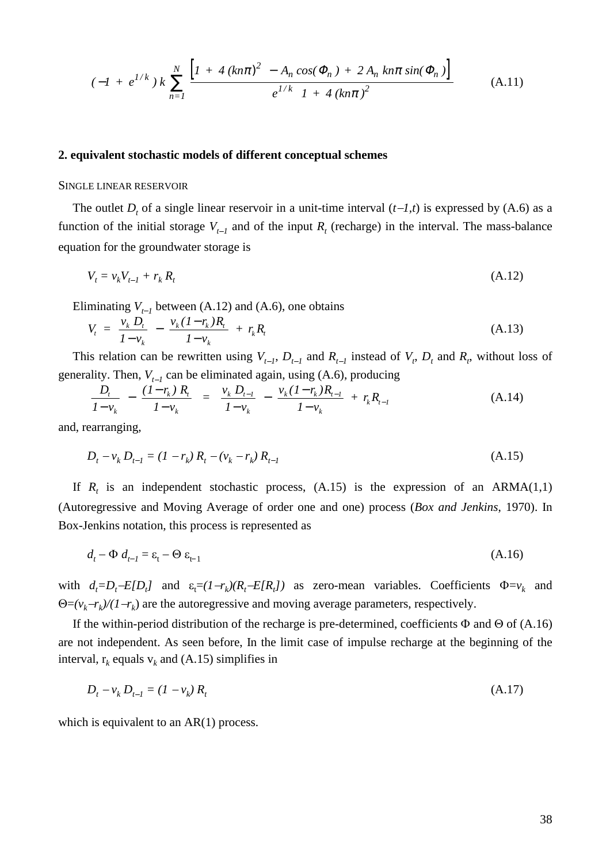$$
(-I + e^{1/k}) k \sum_{n=1}^{N} \frac{\left[I + 4\left(kn\pi\right)^2 - A_n \cos(\Phi_n) + 2 A_n \sin(\Phi_n)\right]}{e^{1/k} \left[1 + 4\left(kn\pi\right)^2\right]}
$$
(A.11)

#### **2. equivalent stochastic models of different conceptual schemes**

#### SINGLE LINEAR RESERVOIR

The outlet  $D_t$  of a single linear reservoir in a unit-time interval  $(t-1,t)$  is expressed by  $(A.6)$  as a SINGLE LINEAR RESERVOIR<br>The outlet  $D_t$  of a single linear reservoir in a unit-time interval  $(t-1,t)$  is expressed by (A.6) as a<br>function of the initial storage  $V_{t-1}$  and of the input  $R_t$  (recharge) in the interval. Th equation for the groundwater storage is *i* for the groundwater storage is<br>  $= v_k V_{t-1} + r_k R_t$  (A.12)

$$
V_t = v_k V_{t-1} + r_k R_t \tag{A.12}
$$

Eliminating  $V_{t-1}$  between (A.12) and (A.6), one obtains

$$
V_{t} = \frac{v_{k} D_{t}}{1 - v_{k}} - \frac{v_{k} (1 - r_{k}) R_{t}}{1 - v_{k}} + r_{k} R_{t}
$$
 (A.13)  
This relation can be rewritten using  $V_{t-1}$ ,  $D_{t-1}$  and  $R_{t-1}$  instead of  $V_{t}$ ,  $D_{t}$  and  $R_{t}$ , without loss of

 $y_t = \frac{1 - y_k}{1 - y_k}$  This relation can be rewritten using  $V_{t-1}$ ,  $D_{t-1}$  and  $R_{t-1}$  instead of generality. Then,  $V_{t-1}$  can be eliminated again, using (A.6), producing

$$
\frac{D_t}{1 - v_k} - \frac{(1 - r_k) R_t}{1 - v_k} = \frac{v_k D_{t-1}}{1 - v_k} - \frac{v_k (1 - r_k) R_{t-1}}{1 - v_k} + r_k R_{t-1}
$$
(A.14)

and, rearranging,

rearranging,  
\n
$$
D_{t} - v_{k} D_{t-1} = (1 - r_{k}) R_{t} - (v_{k} - r_{k}) R_{t-1}
$$
\n(A.15)

If  $R_t$  is an independent stochastic process,  $(A.15)$  is the expression of an ARMA $(1,1)$ (Autoregressive and Moving Average of order one and one) process (*Box and Jenkins*, 1970). In Box-Jenkins notation, this process is represented as enkins notation, this process is represented as<br>  $d_t - \Phi d_{t-1} = \varepsilon_t - \Theta \varepsilon_{t-1}$  (A.16)

$$
d_t - \Phi d_{t-1} = \varepsilon_t - \Theta \varepsilon_{t-1} \tag{A.16}
$$

with  $d_t = D_t - E[D_t]$  and  $\varepsilon_t = (1 - r_k)(R_t - E[R_t])$  as zero-mean variables. Coefficients  $\Phi = v_k$  and  $\Theta = (v_k - r_k)/(1 - r_k)$  are the autoregressive and moving average parameters, respectively.

If the within-period distribution of the recharge is pre-determined, coefficients  $\Phi$  and  $\Theta$  of (A.16) are not independent. As seen before, In the limit case of impulse recharge at the beginning of the interval,  $r_k$  equals  $v_k$  and (A.15) simplifies in *D<sub>t</sub>*  $-v_k D_{t-1} = (1 - v_k) R_t$  (A.17)

$$
D_t - v_k D_{t-1} = (1 - v_k) R_t
$$
\n(A.17)

which is equivalent to an AR(1) process.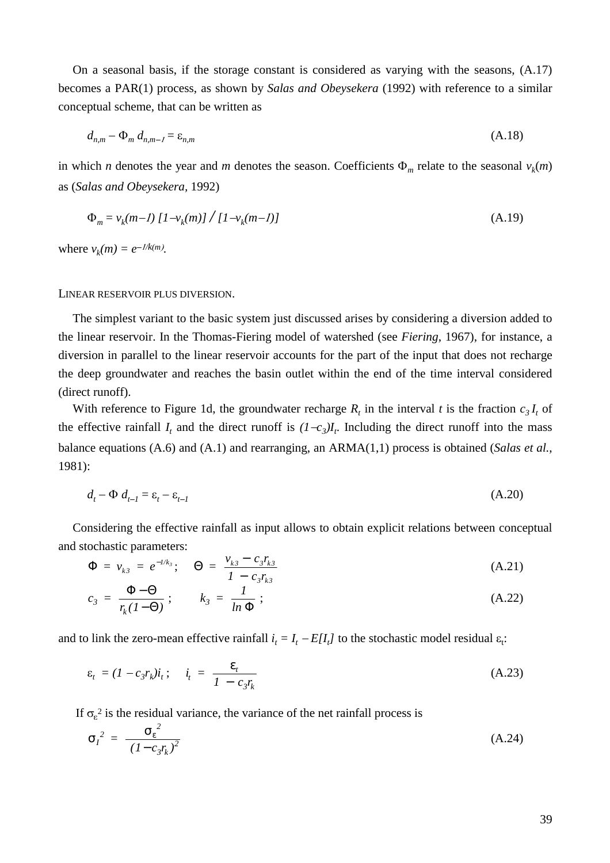On a seasonal basis, if the storage constant is considered as varying with the seasons, (A.17) becomes a PAR(1) process, as shown by *Salas and Obeysekera* (1992) with reference to a similar conceptual scheme, that can be written as ptual scheme, the primary product  $d_{n,m} - \Phi_m d_{n,m-1}$ 

$$
d_{n,m} - \Phi_m d_{n,m-1} = \varepsilon_{n,m} \tag{A.18}
$$

in which *n* denotes the year and *m* denotes the season. Coefficients  $\Phi_m$  relate to the seasonal  $v_k(m)$ as (*Salas and Obeysekera,* 1992)

$$
\Phi_m = v_k(m-1) \left[ 1 - v_k(m) \right] / \left[ 1 - v_k(m-1) \right] \tag{A.19}
$$

where  $v_k(m) = e^{-1/k(m)}$ .

#### LINEAR RESERVOIR PLUS DIVERSION.

The simplest variant to the basic system just discussed arises by considering a diversion added to the linear reservoir. In the Thomas-Fiering model of watershed (see *Fiering*, 1967), for instance, a diversion in parallel to the linear reservoir accounts for the part of the input that does not recharge the deep groundwater and reaches the basin outlet within the end of the time interval considered (direct runoff).

With reference to Figure 1d, the groundwater recharge  $R_t$  in the interval t is the fraction  $c_3 I_t$  of the effective rainfall  $I_t$  and the direct runoff is  $(I - c_3)I_t$ . Including the direct runoff into the mass balance equations (A.6) and (A.1) and rearranging, an ARMA(1,1) process is obtained (*Salas et al.*, 1981):

$$
d_t - \Phi \, d_{t-1} = \varepsilon_t - \varepsilon_{t-1} \tag{A.20}
$$

Considering the effective rainfall as input allows to obtain explicit relations between conceptual and stochastic parameters:

$$
\Phi = v_{k3} = e^{-1/k_3}; \quad \Theta = \frac{v_{k3} - c_3 r_{k3}}{1 - c_3 r_{k3}}
$$
(A.21)

$$
c_3 = \frac{\Phi - \Theta}{r_k (1 - \Theta)}; \qquad k_3 = \frac{1}{\ln \Phi}; \tag{A.22}
$$

and to link the zero-mean effective rainfall  $i_t = I_t - E[I_t]$  to the stochastic model residual  $\varepsilon_t$ :

$$
\varepsilon_t = (1 - c_3 r_k) i_t; \quad i_t = \frac{\varepsilon_t}{1 - c_3 r_k}
$$
 (A.23)

If  $\sigma_{\epsilon}^2$  is the residual variance, the variance of the net rainfall process is

$$
\sigma_I^2 = \frac{\sigma_{\varepsilon}^2}{(1 - c_3 r_k)^2} \tag{A.24}
$$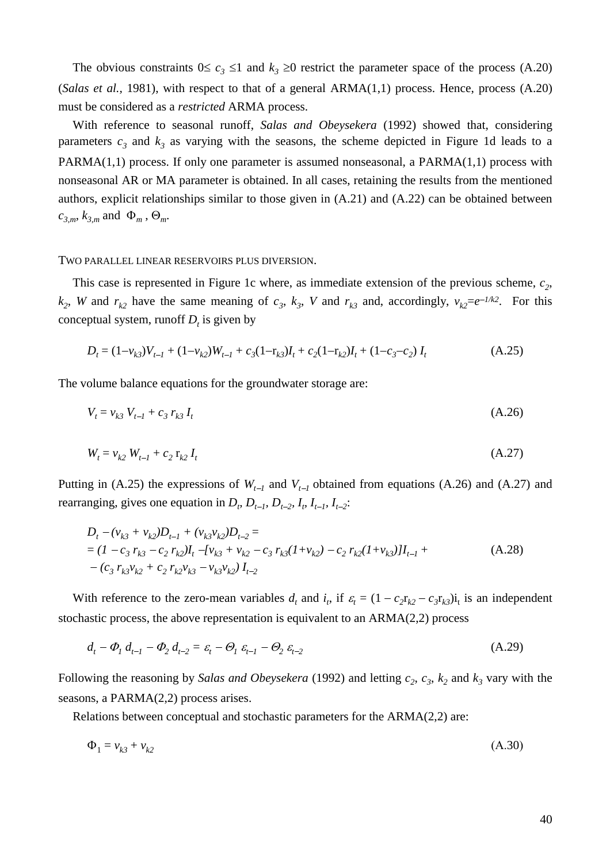The obvious constraints  $0 \le c_3 \le 1$  and  $k_3 \ge 0$  restrict the parameter space of the process (A.20) (*Salas et al.,* 1981), with respect to that of a general ARMA(1,1) process. Hence, process (A.20) must be considered as a *restricted* ARMA process.

With reference to seasonal runoff, *Salas and Obeysekera* (1992) showed that, considering parameters  $c_3$  and  $k_3$  as varying with the seasons, the scheme depicted in Figure 1d leads to a PARMA(1,1) process. If only one parameter is assumed nonseasonal, a PARMA(1,1) process with nonseasonal AR or MA parameter is obtained. In all cases, retaining the results from the mentioned authors, explicit relationships similar to those given in (A.21) and (A.22) can be obtained between  $c_{3,m}$ ,  $k_{3,m}$  and  $\Phi_m$ ,  $\Theta_m$ .

#### TWO PARALLEL LINEAR RESERVOIRS PLUS DIVERSION.

This case is represented in Figure 1c where, as immediate extension of the previous scheme,  $c_2$ ,  $k_2$ , *W* and  $r_{k2}$  have the same meaning of  $c_3$ ,  $k_3$ , *V* and  $r_{k3}$  and, accordingly,  $v_{k2}=e^{-1/k^2}$ . For this conceptual system, runoff  $D_t$  is given by aal system, runoff  $D_t$  is given by<br>=  $(1-v_{k3})V_{t-1} + (1-v_{k2})W_{t-1} + c_3(1-r_{k3})I_t$ 

$$
D_{t} = (1 - v_{k3})V_{t-1} + (1 - v_{k2})W_{t-1} + c_{3}(1 - r_{k3})I_{t} + c_{2}(1 - r_{k2})I_{t} + (1 - c_{3} - c_{2})I_{t}
$$
(A.25)

The volume balance equations for the groundwater storage are:

volume balance equations for the groundwater storage are:  
\n
$$
V_t = v_{k3} V_{t-1} + c_3 r_{k3} I_t
$$
\n(A.26)

$$
V_t = v_{k3} V_{t-1} + c_3 r_{k3} I_t
$$
\n(A.26)\n
$$
W_t = v_{k2} W_{t-1} + c_2 r_{k2} I_t
$$
\n(A.27)

 $W_t = v_{k2} W_{t-1} + c_2 r_{k2} I_t$  (A.27)<br>Putting in (A.25) the expressions of  $W_{t-1}$  and  $V_{t-1}$  obtained from equations (A.26) and (A.27) and Putting in (A.25) the expressions of  $W_{t-1}$  and  $V_{t-1}$  obtaines rearranging, gives one equation in  $D_t$ ,  $D_{t-1}$ ,  $D_{t-2}$ ,  $I_t$ ,  $I_{t-1}$ ,  $I_{t-2}$ . *D<sub>t</sub>*  $- (v_{k3} + v_{k2})D_{t-1} + (v_{k3}v_{k2})D_{t-2} =$ 

$$
D_{t} - (v_{k3} + v_{k2})D_{t-1} + (v_{k3}v_{k2})D_{t-2} =
$$
  
=  $(I - c_{3}r_{k3} - c_{2}r_{k2})I_{t} - [v_{k3} + v_{k2} - c_{3}r_{k3}(I + v_{k2}) - c_{2}r_{k2}(I + v_{k3})]I_{t-1} +$   
-  $(c_{3}r_{k3}v_{k2} + c_{2}r_{k2}v_{k3} - v_{k3}v_{k2})I_{t-2}$  (A.28)

With reference to the zero-mean variables  $d_t$  and  $i_t$ , if  $\varepsilon_t = (1 - c_2 r_{k2} - c_3 r_{k3})i_t$  is an independent stochastic process, the above representation is equivalent to an ARMA(2,2) process rocess, the above representation is equivalent to an ARMA(2,2) process<br>  $P_1 d_{t-1} - \Phi_2 d_{t-2} = \varepsilon_t - \Theta_1 \varepsilon_{t-1} - \Theta_2 \varepsilon_{t-2}$  (A.29)

$$
d_t - \Phi_1 d_{t-1} - \Phi_2 d_{t-2} = \varepsilon_t - \Theta_1 \varepsilon_{t-1} - \Theta_2 \varepsilon_{t-2}
$$
\n(A.29)

Following the reasoning by *Salas and Obeysekera* (1992) and letting  $c_2$ ,  $c_3$ ,  $k_2$  and  $k_3$  vary with the seasons, a PARMA(2,2) process arises.

Relations between conceptual and stochastic parameters for the ARMA(2,2) are:

$$
\Phi_1 = v_{k3} + v_{k2} \tag{A.30}
$$